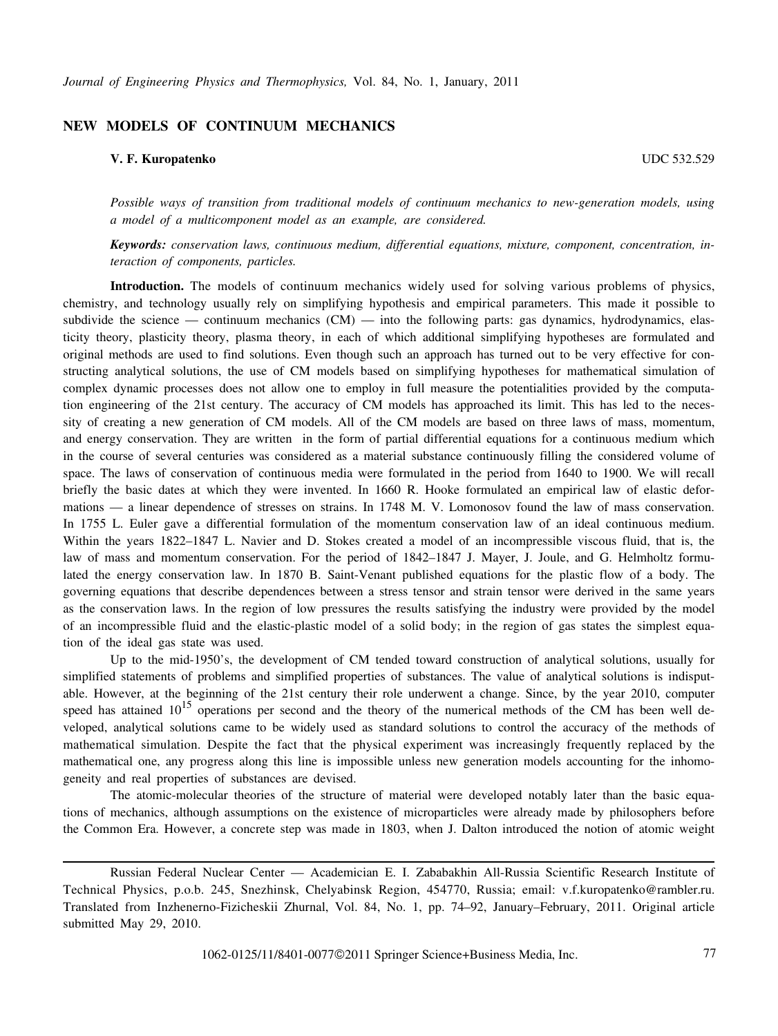## **NEW MODELS OF CONTINUUM MECHANICS**

## **V. F. Kuropatenko** UDC 532.529

*Possible ways of transition from traditional models of continuum mechanics to new-generation models, using a model of a multicomponent model as an example, are considered.*

*Keywords: conservation laws, continuous medium, differential equations, mixture, component, concentration, interaction of components, particles.*

**Introduction.** The models of continuum mechanics widely used for solving various problems of physics, chemistry, and technology usually rely on simplifying hypothesis and empirical parameters. This made it possible to subdivide the science — continuum mechanics  $(CM)$  — into the following parts: gas dynamics, hydrodynamics, elasticity theory, plasticity theory, plasma theory, in each of which additional simplifying hypotheses are formulated and original methods are used to find solutions. Even though such an approach has turned out to be very effective for constructing analytical solutions, the use of CM models based on simplifying hypotheses for mathematical simulation of complex dynamic processes does not allow one to employ in full measure the potentialities provided by the computation engineering of the 21st century. The accuracy of CM models has approached its limit. This has led to the necessity of creating a new generation of CM models. All of the CM models are based on three laws of mass, momentum, and energy conservation. They are written in the form of partial differential equations for a continuous medium which in the course of several centuries was considered as a material substance continuously filling the considered volume of space. The laws of conservation of continuous media were formulated in the period from 1640 to 1900. We will recall briefly the basic dates at which they were invented. In 1660 R. Hooke formulated an empirical law of elastic deformations — a linear dependence of stresses on strains. In 1748 M. V. Lomonosov found the law of mass conservation. In 1755 L. Euler gave a differential formulation of the momentum conservation law of an ideal continuous medium. Within the years 1822–1847 L. Navier and D. Stokes created a model of an incompressible viscous fluid, that is, the law of mass and momentum conservation. For the period of 1842–1847 J. Mayer, J. Joule, and G. Helmholtz formulated the energy conservation law. In 1870 B. Saint-Venant published equations for the plastic flow of a body. The governing equations that describe dependences between a stress tensor and strain tensor were derived in the same years as the conservation laws. In the region of low pressures the results satisfying the industry were provided by the model of an incompressible fluid and the elastic-plastic model of a solid body; in the region of gas states the simplest equation of the ideal gas state was used.

Up to the mid-1950's, the development of CM tended toward construction of analytical solutions, usually for simplified statements of problems and simplified properties of substances. The value of analytical solutions is indisputable. However, at the beginning of the 21st century their role underwent a change. Since, by the year 2010, computer speed has attained  $10^{15}$  operations per second and the theory of the numerical methods of the CM has been well developed, analytical solutions came to be widely used as standard solutions to control the accuracy of the methods of mathematical simulation. Despite the fact that the physical experiment was increasingly frequently replaced by the mathematical one, any progress along this line is impossible unless new generation models accounting for the inhomogeneity and real properties of substances are devised.

The atomic-molecular theories of the structure of material were developed notably later than the basic equations of mechanics, although assumptions on the existence of microparticles were already made by philosophers before the Common Era. However, a concrete step was made in 1803, when J. Dalton introduced the notion of atomic weight

Russian Federal Nuclear Center — Academician E. I. Zababakhin All-Russia Scientific Research Institute of Technical Physics, p.o.b. 245, Snezhinsk, Chelyabinsk Region, 454770, Russia; email: v.f.kuropatenko@rambler.ru. Translated from Inzhenerno-Fizicheskii Zhurnal, Vol. 84, No. 1, pp. 74–92, January–February, 2011. Original article submitted May 29, 2010.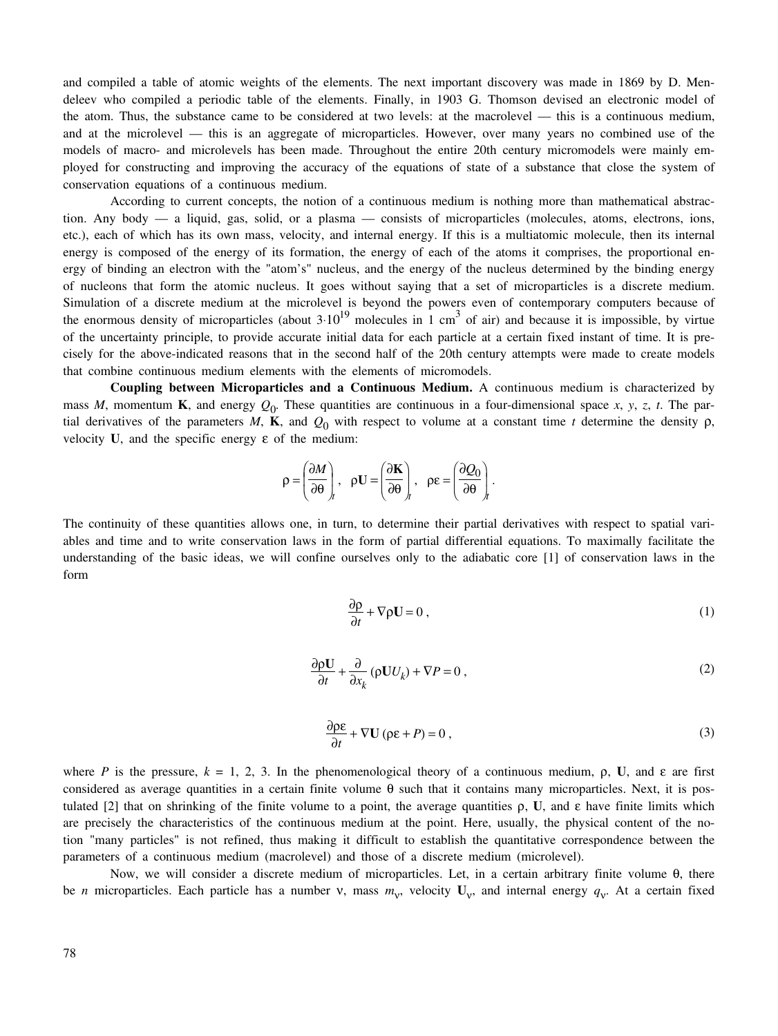and compiled a table of atomic weights of the elements. The next important discovery was made in 1869 by D. Mendeleev who compiled a periodic table of the elements. Finally, in 1903 G. Thomson devised an electronic model of the atom. Thus, the substance came to be considered at two levels: at the macrolevel — this is a continuous medium, and at the microlevel — this is an aggregate of microparticles. However, over many years no combined use of the models of macro- and microlevels has been made. Throughout the entire 20th century micromodels were mainly employed for constructing and improving the accuracy of the equations of state of a substance that close the system of conservation equations of a continuous medium.

According to current concepts, the notion of a continuous medium is nothing more than mathematical abstraction. Any body — a liquid, gas, solid, or a plasma — consists of microparticles (molecules, atoms, electrons, ions, etc.), each of which has its own mass, velocity, and internal energy. If this is a multiatomic molecule, then its internal energy is composed of the energy of its formation, the energy of each of the atoms it comprises, the proportional energy of binding an electron with the "atom's" nucleus, and the energy of the nucleus determined by the binding energy of nucleons that form the atomic nucleus. It goes without saying that a set of microparticles is a discrete medium. Simulation of a discrete medium at the microlevel is beyond the powers even of contemporary computers because of the enormous density of microparticles (about  $3·10^{19}$  molecules in 1 cm<sup>3</sup> of air) and because it is impossible, by virtue of the uncertainty principle, to provide accurate initial data for each particle at a certain fixed instant of time. It is precisely for the above-indicated reasons that in the second half of the 20th century attempts were made to create models that combine continuous medium elements with the elements of micromodels.

**Coupling between Microparticles and a Continuous Medium.** A continuous medium is characterized by mass *M*, momentum **K**, and energy  $Q_0$ . These quantities are continuous in a four-dimensional space *x*, *y*, *z*, *t*. The partial derivatives of the parameters *M*, **K**, and  $Q_0$  with respect to volume at a constant time *t* determine the density  $\rho$ , velocity  $U$ , and the specific energy  $\varepsilon$  of the medium:

$$
\rho = \left(\frac{\partial M}{\partial \theta}\right)_t, \quad \rho \mathbf{U} = \left(\frac{\partial \mathbf{K}}{\partial \theta}\right)_t, \quad \rho \varepsilon = \left(\frac{\partial Q_0}{\partial \theta}\right)_t.
$$

The continuity of these quantities allows one, in turn, to determine their partial derivatives with respect to spatial variables and time and to write conservation laws in the form of partial differential equations. To maximally facilitate the understanding of the basic ideas, we will confine ourselves only to the adiabatic core [1] of conservation laws in the form

$$
\frac{\partial \rho}{\partial t} + \nabla \rho \mathbf{U} = 0 \tag{1}
$$

$$
\frac{\partial \rho \mathbf{U}}{\partial t} + \frac{\partial}{\partial x_k} (\rho \mathbf{U} U_k) + \nabla P = 0, \qquad (2)
$$

$$
\frac{\partial \rho \varepsilon}{\partial t} + \nabla \mathbf{U} \left( \rho \varepsilon + P \right) = 0 \,, \tag{3}
$$

where *P* is the pressure,  $k = 1, 2, 3$ . In the phenomenological theory of a continuous medium,  $\rho$ , **U**, and  $\varepsilon$  are first considered as average quantities in a certain finite volume θ such that it contains many microparticles. Next, it is postulated [2] that on shrinking of the finite volume to a point, the average quantities ρ, **U**, and ε have finite limits which are precisely the characteristics of the continuous medium at the point. Here, usually, the physical content of the notion "many particles" is not refined, thus making it difficult to establish the quantitative correspondence between the parameters of a continuous medium (macrolevel) and those of a discrete medium (microlevel).

Now, we will consider a discrete medium of microparticles. Let, in a certain arbitrary finite volume θ, there be *n* microparticles. Each particle has a number v, mass  $m_v$ , velocity  $U_v$ , and internal energy  $q_v$ . At a certain fixed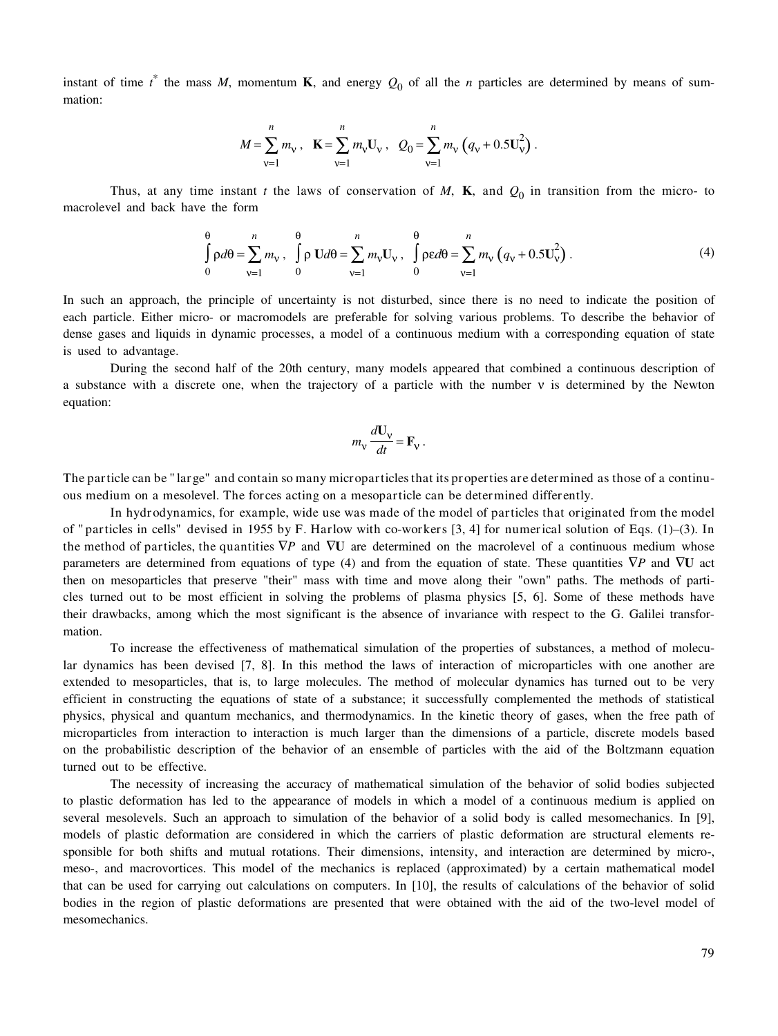instant of time  $t^*$  the mass *M*, momentum **K**, and energy  $Q_0$  of all the *n* particles are determined by means of summation:

$$
M = \sum_{v=1}^{n} m_v, \quad \mathbf{K} = \sum_{v=1}^{n} m_v \mathbf{U}_v, \quad Q_0 = \sum_{v=1}^{n} m_v \left( q_v + 0.5 \mathbf{U}_v^2 \right).
$$

Thus, at any time instant *t* the laws of conservation of *M*, **K**, and  $Q_0$  in transition from the micro- to macrolevel and back have the form

$$
\int_{0}^{\theta} \rho d\theta = \sum_{v=1}^{n} m_v, \quad \int_{0}^{\theta} \rho \, \mathbf{U} d\theta = \sum_{v=1}^{n} m_v \mathbf{U}_v, \quad \int_{0}^{\theta} \rho \epsilon d\theta = \sum_{v=1}^{n} m_v \left( q_v + 0.5 \mathbf{U}_v^2 \right). \tag{4}
$$

In such an approach, the principle of uncertainty is not disturbed, since there is no need to indicate the position of each particle. Either micro- or macromodels are preferable for solving various problems. To describe the behavior of dense gases and liquids in dynamic processes, a model of a continuous medium with a corresponding equation of state is used to advantage.

During the second half of the 20th century, many models appeared that combined a continuous description of a substance with a discrete one, when the trajectory of a particle with the number ν is determined by the Newton equation:

$$
m_{\rm v} \frac{d\mathbf{U}_{\rm v}}{dt} = \mathbf{F}_{\rm v} \ .
$$

The particle can be " large" and contain so many microparticles that its properties are determined as those of a continuous medium on a mesolevel. The forces acting on a mesoparticle can be determined differently.

In hydrodynamics, for example, wide use was made of the model of particles that originated from the model of " particles in cells" devised in 1955 by F. Harlow with co-workers  $[3, 4]$  for numerical solution of Eqs. (1)–(3). In the method of particles, the quantities ∇*P* and ∇**U** are determined on the macrolevel of a continuous medium whose parameters are determined from equations of type (4) and from the equation of state. These quantities ∇*P* and ∇**U** act then on mesoparticles that preserve "their" mass with time and move along their "own" paths. The methods of particles turned out to be most efficient in solving the problems of plasma physics [5, 6]. Some of these methods have their drawbacks, among which the most significant is the absence of invariance with respect to the G. Galilei transformation.

To increase the effectiveness of mathematical simulation of the properties of substances, a method of molecular dynamics has been devised [7, 8]. In this method the laws of interaction of microparticles with one another are extended to mesoparticles, that is, to large molecules. The method of molecular dynamics has turned out to be very efficient in constructing the equations of state of a substance; it successfully complemented the methods of statistical physics, physical and quantum mechanics, and thermodynamics. In the kinetic theory of gases, when the free path of microparticles from interaction to interaction is much larger than the dimensions of a particle, discrete models based on the probabilistic description of the behavior of an ensemble of particles with the aid of the Boltzmann equation turned out to be effective.

The necessity of increasing the accuracy of mathematical simulation of the behavior of solid bodies subjected to plastic deformation has led to the appearance of models in which a model of a continuous medium is applied on several mesolevels. Such an approach to simulation of the behavior of a solid body is called mesomechanics. In [9], models of plastic deformation are considered in which the carriers of plastic deformation are structural elements responsible for both shifts and mutual rotations. Their dimensions, intensity, and interaction are determined by micro-, meso-, and macrovortices. This model of the mechanics is replaced (approximated) by a certain mathematical model that can be used for carrying out calculations on computers. In [10], the results of calculations of the behavior of solid bodies in the region of plastic deformations are presented that were obtained with the aid of the two-level model of mesomechanics.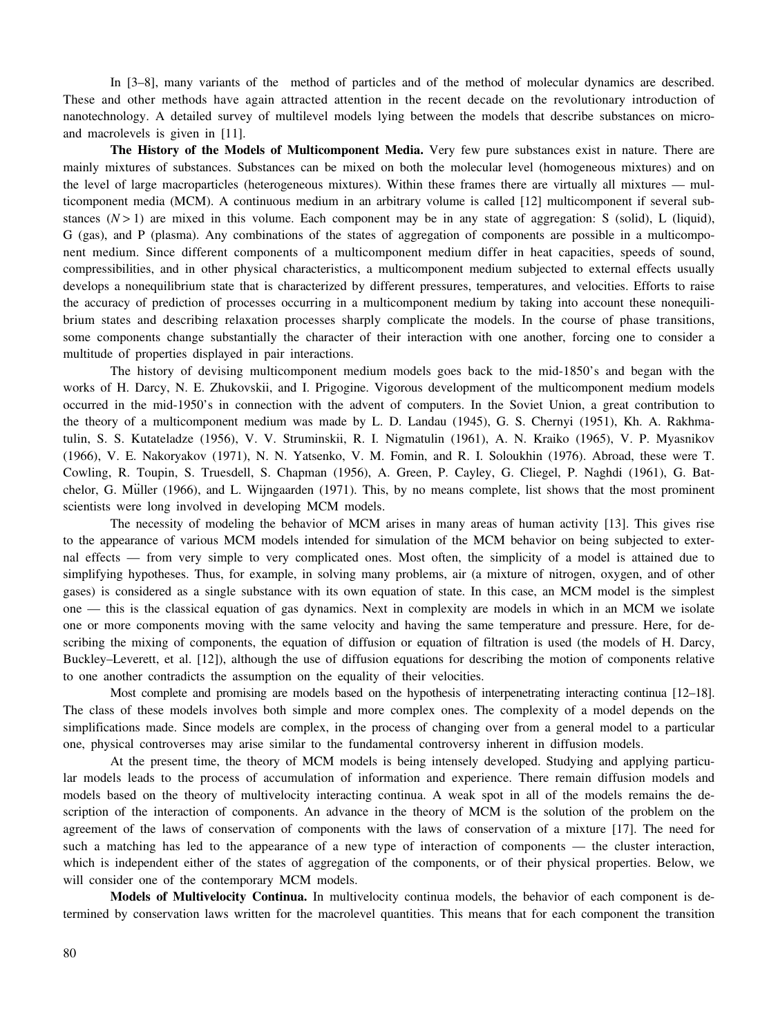In [3–8], many variants of the method of particles and of the method of molecular dynamics are described. These and other methods have again attracted attention in the recent decade on the revolutionary introduction of nanotechnology. A detailed survey of multilevel models lying between the models that describe substances on microand macrolevels is given in [11].

**The History of the Models of Multicomponent Media.** Very few pure substances exist in nature. There are mainly mixtures of substances. Substances can be mixed on both the molecular level (homogeneous mixtures) and on the level of large macroparticles (heterogeneous mixtures). Within these frames there are virtually all mixtures — multicomponent media (MCM). A continuous medium in an arbitrary volume is called [12] multicomponent if several substances  $(N > 1)$  are mixed in this volume. Each component may be in any state of aggregation: S (solid), L (liquid), G (gas), and P (plasma). Any combinations of the states of aggregation of components are possible in a multicomponent medium. Since different components of a multicomponent medium differ in heat capacities, speeds of sound, compressibilities, and in other physical characteristics, a multicomponent medium subjected to external effects usually develops a nonequilibrium state that is characterized by different pressures, temperatures, and velocities. Efforts to raise the accuracy of prediction of processes occurring in a multicomponent medium by taking into account these nonequilibrium states and describing relaxation processes sharply complicate the models. In the course of phase transitions, some components change substantially the character of their interaction with one another, forcing one to consider a multitude of properties displayed in pair interactions.

The history of devising multicomponent medium models goes back to the mid-1850's and began with the works of H. Darcy, N. E. Zhukovskii, and I. Prigogine. Vigorous development of the multicomponent medium models occurred in the mid-1950's in connection with the advent of computers. In the Soviet Union, a great contribution to the theory of a multicomponent medium was made by L. D. Landau (1945), G. S. Chernyi (1951), Kh. A. Rakhmatulin, S. S. Kutateladze (1956), V. V. Struminskii, R. I. Nigmatulin (1961), A. N. Kraiko (1965), V. P. Myasnikov (1966), V. E. Nakoryakov (1971), N. N. Yatsenko, V. M. Fomin, and R. I. Soloukhin (1976). Abroad, these were T. Cowling, R. Toupin, S. Truesdell, S. Chapman (1956), A. Green, P. Cayley, G. Cliegel, P. Naghdi (1961), G. Batchelor, G. Müller (1966), and L. Wijngaarden (1971). This, by no means complete, list shows that the most prominent scientists were long involved in developing MCM models.

The necessity of modeling the behavior of MCM arises in many areas of human activity [13]. This gives rise to the appearance of various MCM models intended for simulation of the MCM behavior on being subjected to external effects — from very simple to very complicated ones. Most often, the simplicity of a model is attained due to simplifying hypotheses. Thus, for example, in solving many problems, air (a mixture of nitrogen, oxygen, and of other gases) is considered as a single substance with its own equation of state. In this case, an MCM model is the simplest one — this is the classical equation of gas dynamics. Next in complexity are models in which in an MCM we isolate one or more components moving with the same velocity and having the same temperature and pressure. Here, for describing the mixing of components, the equation of diffusion or equation of filtration is used (the models of H. Darcy, Buckley–Leverett, et al. [12]), although the use of diffusion equations for describing the motion of components relative to one another contradicts the assumption on the equality of their velocities.

Most complete and promising are models based on the hypothesis of interpenetrating interacting continua [12–18]. The class of these models involves both simple and more complex ones. The complexity of a model depends on the simplifications made. Since models are complex, in the process of changing over from a general model to a particular one, physical controverses may arise similar to the fundamental controversy inherent in diffusion models.

At the present time, the theory of MCM models is being intensely developed. Studying and applying particular models leads to the process of accumulation of information and experience. There remain diffusion models and models based on the theory of multivelocity interacting continua. A weak spot in all of the models remains the description of the interaction of components. An advance in the theory of MCM is the solution of the problem on the agreement of the laws of conservation of components with the laws of conservation of a mixture [17]. The need for such a matching has led to the appearance of a new type of interaction of components — the cluster interaction, which is independent either of the states of aggregation of the components, or of their physical properties. Below, we will consider one of the contemporary MCM models.

**Models of Multivelocity Continua.** In multivelocity continua models, the behavior of each component is determined by conservation laws written for the macrolevel quantities. This means that for each component the transition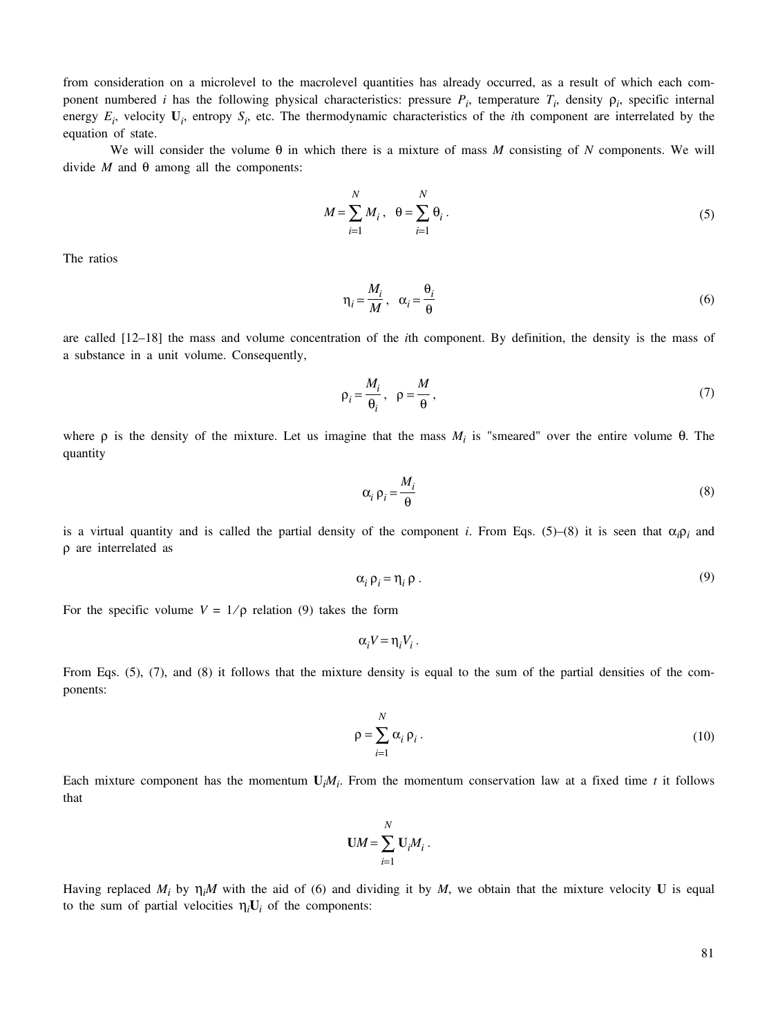from consideration on a microlevel to the macrolevel quantities has already occurred, as a result of which each component numbered *i* has the following physical characteristics: pressure  $P_i$ , temperature  $T_i$ , density  $\rho_i$ , specific internal energy  $E_i$ , velocity  $U_i$ , entropy  $S_i$ , etc. The thermodynamic characteristics of the *i*th component are interrelated by the equation of state.

We will consider the volume θ in which there is a mixture of mass *M* consisting of *N* components. We will divide *M* and  $θ$  among all the components:

$$
M = \sum_{i=1}^{N} M_i, \quad \theta = \sum_{i=1}^{N} \theta_i.
$$
 (5)

The ratios

$$
\eta_i = \frac{M_i}{M}, \quad \alpha_i = \frac{\theta_i}{\theta} \tag{6}
$$

are called [12–18] the mass and volume concentration of the *i*th component. By definition, the density is the mass of a substance in a unit volume. Consequently,

$$
\rho_i = \frac{M_i}{\theta_i}, \quad \rho = \frac{M}{\theta}, \tag{7}
$$

where  $\rho$  is the density of the mixture. Let us imagine that the mass  $M_i$  is "smeared" over the entire volume  $\theta$ . The quantity

$$
\alpha_i \,\rho_i = \frac{M_i}{\theta} \tag{8}
$$

is a virtual quantity and is called the partial density of the component *i*. From Eqs. (5)–(8) it is seen that  $\alpha_i \rho_i$  and ρ are interrelated as

$$
\alpha_i \, \rho_i = \eta_i \, \rho \,. \tag{9}
$$

For the specific volume  $V = 1/\rho$  relation (9) takes the form

$$
\alpha_i V = \eta_i V_i.
$$

From Eqs. (5), (7), and (8) it follows that the mixture density is equal to the sum of the partial densities of the components:

$$
\rho = \sum_{i=1}^{N} \alpha_i \, \rho_i \,. \tag{10}
$$

Each mixture component has the momentum  $U_iM_i$ . From the momentum conservation law at a fixed time *t* it follows that

$$
\mathbf{U}M = \sum_{i=1}^N \mathbf{U}_i M_i.
$$

Having replaced  $M_i$  by  $\eta_i M$  with the aid of (6) and dividing it by  $M$ , we obtain that the mixture velocity **U** is equal to the sum of partial velocities  $\eta_i U_i$  of the components: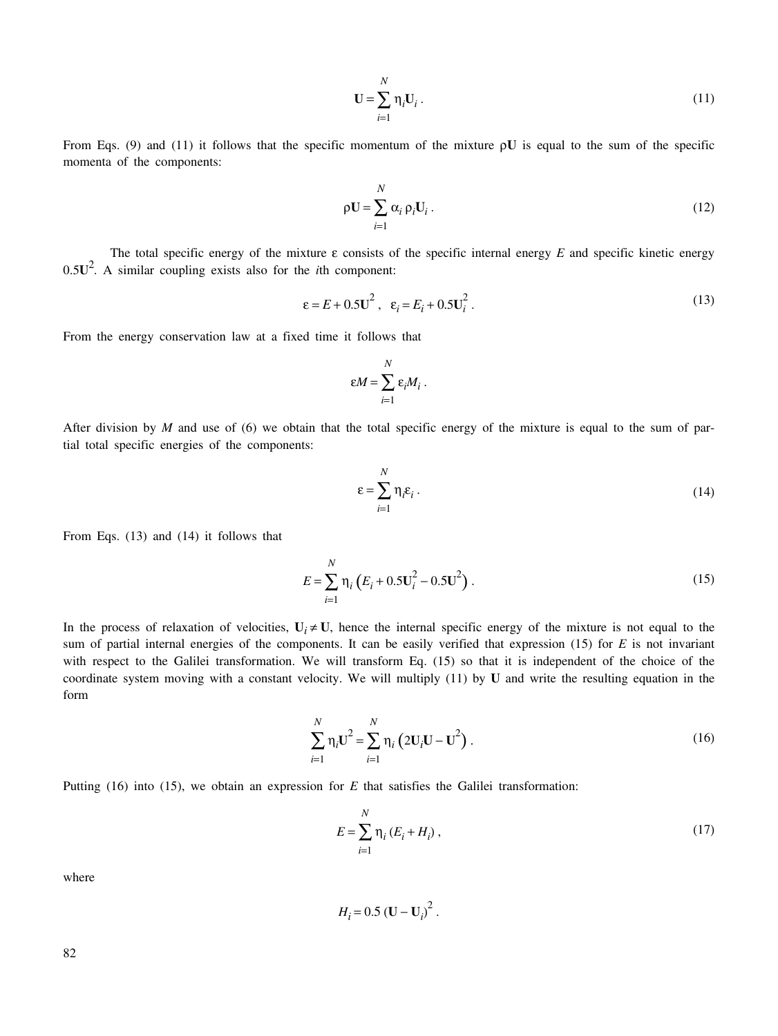$$
\mathbf{U} = \sum_{i=1}^{N} \eta_i \mathbf{U}_i \,. \tag{11}
$$

From Eqs. (9) and (11) it follows that the specific momentum of the mixture ρ**U** is equal to the sum of the specific momenta of the components:

$$
\rho \mathbf{U} = \sum_{i=1}^{N} \alpha_i \, \rho_i \mathbf{U}_i \,. \tag{12}
$$

The total specific energy of the mixture ε consists of the specific internal energy *E* and specific kinetic energy 0.5**U**<sup>2</sup> . A similar coupling exists also for the *i*th component:

$$
\varepsilon = E + 0.5 \mathbf{U}^2 \,, \quad \varepsilon_i = E_i + 0.5 \mathbf{U}_i^2 \,. \tag{13}
$$

From the energy conservation law at a fixed time it follows that

$$
\varepsilon M = \sum_{i=1}^N \varepsilon_i M_i \, .
$$

After division by *M* and use of (6) we obtain that the total specific energy of the mixture is equal to the sum of partial total specific energies of the components:

$$
\varepsilon = \sum_{i=1}^{N} \eta_i \varepsilon_i \,. \tag{14}
$$

From Eqs. (13) and (14) it follows that

$$
E = \sum_{i=1}^{N} \eta_i \left( E_i + 0.5 \mathbf{U}_i^2 - 0.5 \mathbf{U}^2 \right). \tag{15}
$$

In the process of relaxation of velocities,  $U_i \neq U$ , hence the internal specific energy of the mixture is not equal to the sum of partial internal energies of the components. It can be easily verified that expression (15) for *E* is not invariant with respect to the Galilei transformation. We will transform Eq. (15) so that it is independent of the choice of the coordinate system moving with a constant velocity. We will multiply (11) by **U** and write the resulting equation in the form

$$
\sum_{i=1}^{N} \eta_i \mathbf{U}^2 = \sum_{i=1}^{N} \eta_i \left( 2\mathbf{U}_i \mathbf{U} - \mathbf{U}^2 \right).
$$
 (16)

Putting (16) into (15), we obtain an expression for *E* that satisfies the Galilei transformation:

$$
E = \sum_{i=1}^{N} \eta_i (E_i + H_i),
$$
 (17)

where

$$
H_i = 0.5 \left(\mathbf{U} - \mathbf{U}_i\right)^2.
$$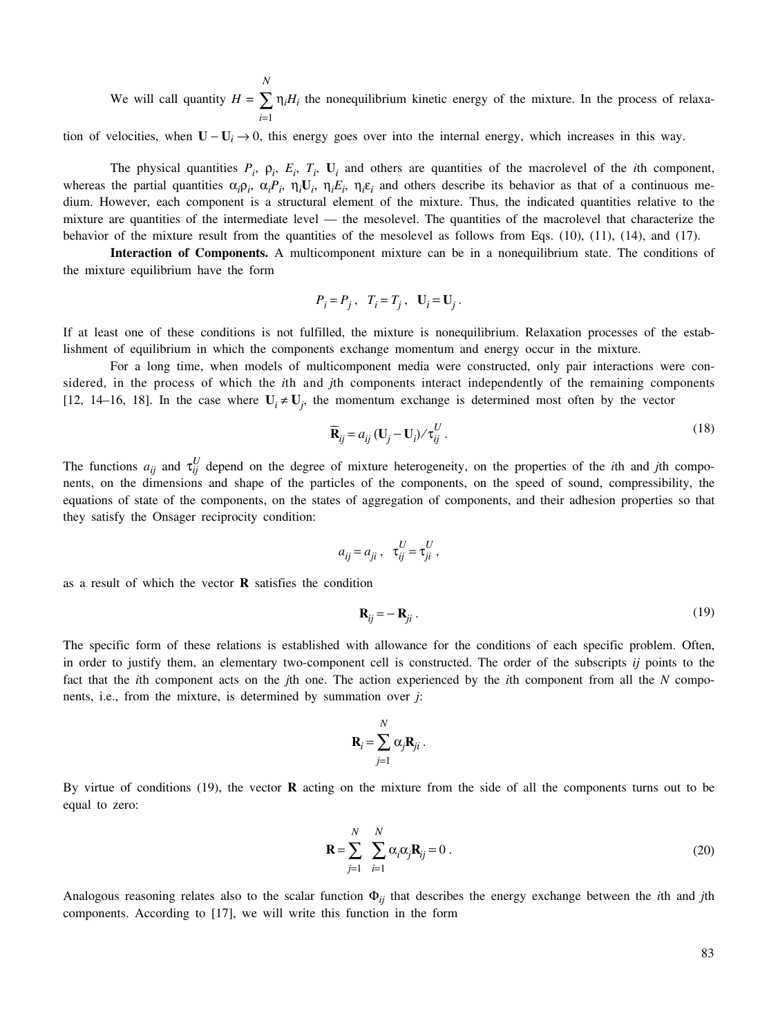We will call quantity  $H = \sum$ *i*=1 *N*  $\eta_i H_i$  the nonequilibrium kinetic energy of the mixture. In the process of relaxa-

tion of velocities, when  $U - U_i \rightarrow 0$ , this energy goes over into the internal energy, which increases in this way.

The physical quantities  $P_i$ ,  $\rho_i$ ,  $E_i$ ,  $T_i$ ,  $U_i$  and others are quantities of the macrolevel of the *i*th component, whereas the partial quantities  $\alpha_i \rho_i$ ,  $\alpha_i P_i$ ,  $\eta_i U_i$ ,  $\eta_i E_i$ ,  $\eta_i \varepsilon_i$  and others describe its behavior as that of a continuous medium. However, each component is a structural element of the mixture. Thus, the indicated quantities relative to the mixture are quantities of the intermediate level — the mesolevel. The quantities of the macrolevel that characterize the behavior of the mixture result from the quantities of the mesolevel as follows from Eqs. (10), (11), (14), and (17).

**Interaction of Components.** A multicomponent mixture can be in a nonequilibrium state. The conditions of the mixture equilibrium have the form

$$
P_i = P_j \,, \quad T_i = T_j \,, \quad \mathbf{U}_i = \mathbf{U}_j \,.
$$

If at least one of these conditions is not fulfilled, the mixture is nonequilibrium. Relaxation processes of the establishment of equilibrium in which the components exchange momentum and energy occur in the mixture.

For a long time, when models of multicomponent media were constructed, only pair interactions were considered, in the process of which the *i*th and *j*th components interact independently of the remaining components [12, 14–16, 18]. In the case where  $U_i \neq U_j$ , the momentum exchange is determined most often by the vector

$$
\overline{\mathbf{R}}_{ij} = a_{ij} (\mathbf{U}_j - \mathbf{U}_i) / \tau_{ij}^U.
$$
 (18)

The functions  $a_{ij}$  and  $\tau_{ij}^U$  depend on the degree of mixture heterogeneity, on the properties of the *i*th and *j*th components, on the dimensions and shape of the particles of the components, on the speed of sound, compressibility, the equations of state of the components, on the states of aggregation of components, and their adhesion properties so that they satisfy the Onsager reciprocity condition:

$$
a_{ij} = a_{ji} , \quad \tau_{ij}^U = \tau_{ji}^U ,
$$

as a result of which the vector **R** satisfies the condition

$$
\mathbf{R}_{ij} = -\mathbf{R}_{ji} \,. \tag{19}
$$

The specific form of these relations is established with allowance for the conditions of each specific problem. Often, in order to justify them, an elementary two-component cell is constructed. The order of the subscripts *ij* points to the fact that the *i*th component acts on the *j*th one. The action experienced by the *i*th component from all the *N* components, i.e., from the mixture, is determined by summation over *j*:

$$
\mathbf{R}_i = \sum_{j=1}^N \alpha_j \mathbf{R}_{ji}.
$$

By virtue of conditions (19), the vector **R** acting on the mixture from the side of all the components turns out to be equal to zero:

$$
\mathbf{R} = \sum_{j=1}^{N} \sum_{i=1}^{N} \alpha_i \alpha_j \mathbf{R}_{ij} = 0.
$$
 (20)

Analogous reasoning relates also to the scalar function Φ*ij* that describes the energy exchange between the *i*th and *j*th components. According to [17], we will write this function in the form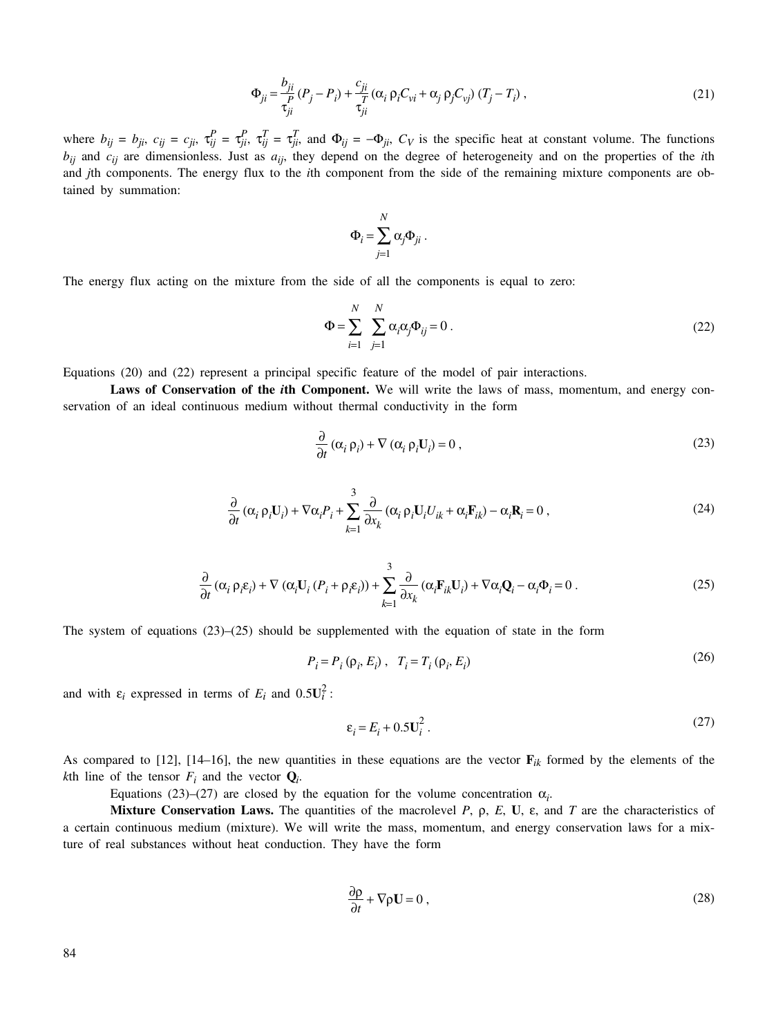$$
\Phi_{ji} = \frac{b_{ji}}{\tau_{ji}} (P_j - P_i) + \frac{c_{ji}}{\tau_{ji}} (\alpha_i \rho_i C_{vi} + \alpha_j \rho_j C_{vj}) (T_j - T_i),
$$
\n(21)

where  $b_{ij} = b_{ji}$ ,  $c_{ij} = c_{ji}$ ,  $\tau_{ij}^P = \tau_{ji}^P$ ,  $\tau_{ij}^T = \tau_{ji}^T$ , and  $\Phi_{ij} = -\Phi_{ji}$ ,  $C_V$  is the specific heat at constant volume. The functions *bij* and *cij* are dimensionless. Just as *aij*, they depend on the degree of heterogeneity and on the properties of the *i*th and *j*th components. The energy flux to the *i*th component from the side of the remaining mixture components are obtained by summation:

$$
\Phi_i = \sum_{j=1}^N \alpha_j \Phi_{ji} .
$$

The energy flux acting on the mixture from the side of all the components is equal to zero:

$$
\Phi = \sum_{i=1}^{N} \sum_{j=1}^{N} \alpha_i \alpha_j \Phi_{ij} = 0.
$$
\n(22)

Equations (20) and (22) represent a principal specific feature of the model of pair interactions.

**Laws of Conservation of the** *i***th Component.** We will write the laws of mass, momentum, and energy conservation of an ideal continuous medium without thermal conductivity in the form

$$
\frac{\partial}{\partial t} \left( \alpha_i \, \rho_i \right) + \nabla \left( \alpha_i \, \rho_i \mathbf{U}_i \right) = 0 \,, \tag{23}
$$

$$
\frac{\partial}{\partial t} \left( \alpha_i \, \rho_i \mathbf{U}_i \right) + \nabla \alpha_i P_i + \sum_{k=1}^3 \frac{\partial}{\partial x_k} \left( \alpha_i \, \rho_i \mathbf{U}_i U_{ik} + \alpha_i \mathbf{F}_{ik} \right) - \alpha_i \mathbf{R}_i = 0 \,, \tag{24}
$$

$$
\frac{\partial}{\partial t} \left( \alpha_i \, \rho_i \varepsilon_i \right) + \nabla \left( \alpha_i \mathbf{U}_i \left( P_i + \rho_i \varepsilon_i \right) \right) + \sum_{k=1}^3 \frac{\partial}{\partial x_k} \left( \alpha_i \mathbf{F}_{ik} \mathbf{U}_i \right) + \nabla \alpha_i \mathbf{Q}_i - \alpha_i \Phi_i = 0 \tag{25}
$$

The system of equations  $(23)$ – $(25)$  should be supplemented with the equation of state in the form

$$
P_i = P_i \left( \rho_i, E_i \right), \quad T_i = T_i \left( \rho_i, E_i \right) \tag{26}
$$

and with  $\varepsilon_i$  expressed in terms of  $E_i$  and  $0.5U_i^2$ :

$$
\varepsilon_i = E_i + 0.5 \mathbf{U}_i^2 \,. \tag{27}
$$

As compared to [12], [14–16], the new quantities in these equations are the vector  $\mathbf{F}_{ik}$  formed by the elements of the *k*th line of the tensor  $F_i$  and the vector  $Q_i$ .

Equations (23)–(27) are closed by the equation for the volume concentration  $\alpha_i$ .

**Mixture Conservation Laws.** The quantities of the macrolevel *P*,  $\rho$ , *E*, **U**,  $\varepsilon$ , and *T* are the characteristics of a certain continuous medium (mixture). We will write the mass, momentum, and energy conservation laws for a mixture of real substances without heat conduction. They have the form

$$
\frac{\partial \rho}{\partial t} + \nabla \rho \mathbf{U} = 0 \tag{28}
$$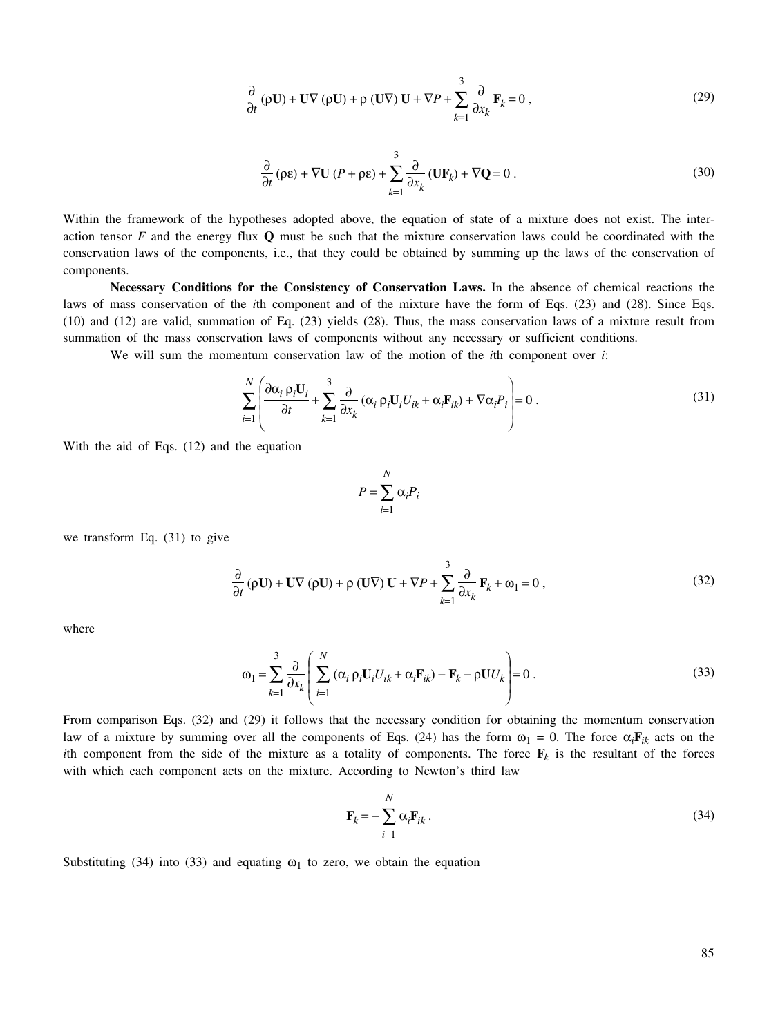$$
\frac{\partial}{\partial t} (\rho \mathbf{U}) + \mathbf{U} \nabla (\rho \mathbf{U}) + \rho (\mathbf{U} \nabla) \mathbf{U} + \nabla P + \sum_{k=1}^{3} \frac{\partial}{\partial x_k} \mathbf{F}_k = 0, \qquad (29)
$$

$$
\frac{\partial}{\partial t} (\rho \varepsilon) + \nabla \mathbf{U} (P + \rho \varepsilon) + \sum_{k=1}^{3} \frac{\partial}{\partial x_k} (\mathbf{U} \mathbf{F}_k) + \nabla \mathbf{Q} = 0.
$$
 (30)

Within the framework of the hypotheses adopted above, the equation of state of a mixture does not exist. The interaction tensor *F* and the energy flux **Q** must be such that the mixture conservation laws could be coordinated with the conservation laws of the components, i.e., that they could be obtained by summing up the laws of the conservation of components.

**Necessary Conditions for the Consistency of Conservation Laws.** In the absence of chemical reactions the laws of mass conservation of the *i*th component and of the mixture have the form of Eqs. (23) and (28). Since Eqs. (10) and (12) are valid, summation of Eq. (23) yields (28). Thus, the mass conservation laws of a mixture result from summation of the mass conservation laws of components without any necessary or sufficient conditions.

We will sum the momentum conservation law of the motion of the *i*th component over *i*:

$$
\sum_{i=1}^{N} \left( \frac{\partial \alpha_i \rho_i \mathbf{U}_i}{\partial t} + \sum_{k=1}^{3} \frac{\partial}{\partial x_k} (\alpha_i \rho_i \mathbf{U}_i U_{ik} + \alpha_i \mathbf{F}_{ik}) + \nabla \alpha_i P_i \right) = 0.
$$
\n(31)

With the aid of Eqs. (12) and the equation

$$
P = \sum_{i=1}^{N} \alpha_i P_i
$$

we transform Eq. (31) to give

$$
\frac{\partial}{\partial t} (\rho \mathbf{U}) + \mathbf{U} \nabla (\rho \mathbf{U}) + \rho (\mathbf{U} \nabla) \mathbf{U} + \nabla P + \sum_{k=1}^{3} \frac{\partial}{\partial x_k} \mathbf{F}_k + \omega_1 = 0,
$$
\n(32)

where

$$
\omega_1 = \sum_{k=1}^3 \frac{\partial}{\partial x_k} \left( \sum_{i=1}^N (\alpha_i \, \rho_i U_i U_{ik} + \alpha_i \mathbf{F}_{ik}) - \mathbf{F}_k - \rho U U_k \right) = 0 \tag{33}
$$

From comparison Eqs. (32) and (29) it follows that the necessary condition for obtaining the momentum conservation law of a mixture by summing over all the components of Eqs. (24) has the form  $\omega_1 = 0$ . The force  $\alpha_i \mathbf{F}_{ik}$  acts on the *i*th component from the side of the mixture as a totality of components. The force  $\mathbf{F}_k$  is the resultant of the forces with which each component acts on the mixture. According to Newton's third law

$$
\mathbf{F}_k = -\sum_{i=1}^N \alpha_i \mathbf{F}_{ik} \,. \tag{34}
$$

Substituting (34) into (33) and equating  $\omega_1$  to zero, we obtain the equation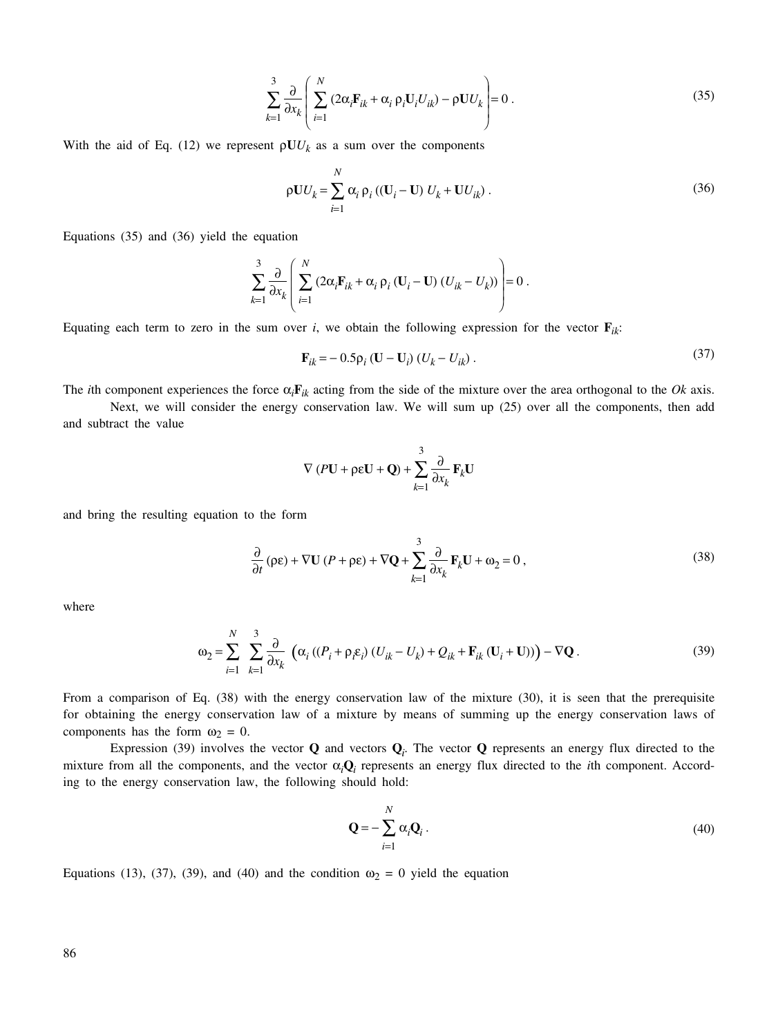$$
\sum_{k=1}^{3} \frac{\partial}{\partial x_k} \left( \sum_{i=1}^{N} \left( 2\alpha_i \mathbf{F}_{ik} + \alpha_i \, \rho_i \mathbf{U}_i U_{ik} \right) - \rho \mathbf{U} U_k \right) = 0 \tag{35}
$$

With the aid of Eq. (12) we represent  $\rho U U_k$  as a sum over the components

$$
\rho \mathbf{U} U_k = \sum_{i=1}^N \alpha_i \, \rho_i \left( (\mathbf{U}_i - \mathbf{U}) \, U_k + \mathbf{U} U_{ik} \right). \tag{36}
$$

Equations (35) and (36) yield the equation

$$
\sum_{k=1}^{3} \frac{\partial}{\partial x_k} \left( \sum_{i=1}^{N} \left( 2\alpha_i \mathbf{F}_{ik} + \alpha_i \, \rho_i \left( \mathbf{U}_i - \mathbf{U} \right) \left( U_{ik} - U_k \right) \right) \right) = 0 \, .
$$

Equating each term to zero in the sum over *i*, we obtain the following expression for the vector  $\mathbf{F}_{ik}$ :

$$
\mathbf{F}_{ik} = -0.5 \rho_i (\mathbf{U} - \mathbf{U}_i) (U_k - U_{ik}).
$$
\n(37)

The *i*th component experiences the force  $\alpha_i \mathbf{F}_{ik}$  acting from the side of the mixture over the area orthogonal to the *Ok* axis.

Next, we will consider the energy conservation law. We will sum up (25) over all the components, then add and subtract the value

$$
\nabla (P\mathbf{U} + \rho \varepsilon \mathbf{U} + \mathbf{Q}) + \sum_{k=1}^{3} \frac{\partial}{\partial x_k} \mathbf{F}_k \mathbf{U}
$$

and bring the resulting equation to the form

$$
\frac{\partial}{\partial t} (\rho \varepsilon) + \nabla U (P + \rho \varepsilon) + \nabla Q + \sum_{k=1}^{3} \frac{\partial}{\partial x_k} \mathbf{F}_k U + \omega_2 = 0,
$$
\n(38)

where

$$
\omega_2 = \sum_{i=1}^N \sum_{k=1}^3 \frac{\partial}{\partial x_k} \left( \alpha_i \left( (P_i + \rho_i \varepsilon_i) \left( U_{ik} - U_k \right) + Q_{ik} + \mathbf{F}_{ik} \left( \mathbf{U}_i + \mathbf{U} \right) \right) \right) - \nabla \mathbf{Q} \,. \tag{39}
$$

From a comparison of Eq. (38) with the energy conservation law of the mixture (30), it is seen that the prerequisite for obtaining the energy conservation law of a mixture by means of summing up the energy conservation laws of components has the form  $\omega_2 = 0$ .

Expression (39) involves the vector  $Q$  and vectors  $Q_i$ . The vector  $Q$  represents an energy flux directed to the mixture from all the components, and the vector  $\alpha_i \mathbf{Q}_i$  represents an energy flux directed to the *i*th component. According to the energy conservation law, the following should hold:

$$
\mathbf{Q} = -\sum_{i=1}^{N} \alpha_i \mathbf{Q}_i \,. \tag{40}
$$

Equations (13), (37), (39), and (40) and the condition  $\omega_2 = 0$  yield the equation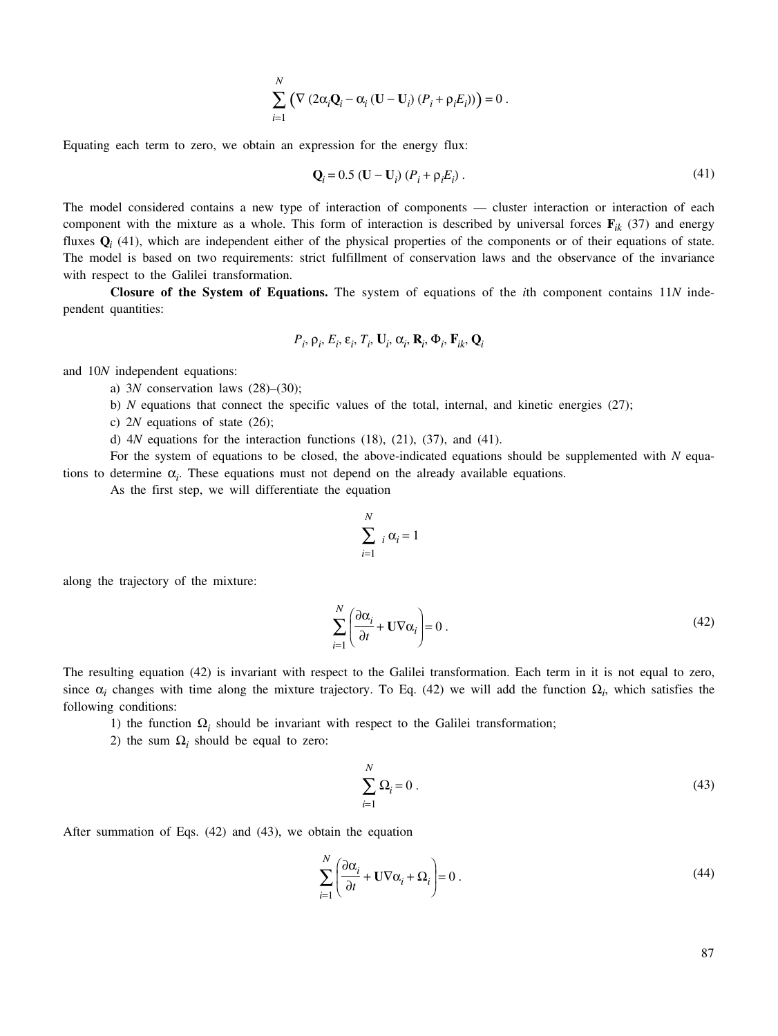$$
\sum_{i=1}^N \left( \nabla \left( 2\alpha_i \mathbf{Q}_i - \alpha_i \left( \mathbf{U} - \mathbf{U}_i \right) \left( P_i + \rho_i E_i \right) \right) \right) = 0.
$$

Equating each term to zero, we obtain an expression for the energy flux:

$$
Q_i = 0.5 (U - U_i) (P_i + \rho_i E_i).
$$
 (41)

The model considered contains a new type of interaction of components — cluster interaction or interaction of each component with the mixture as a whole. This form of interaction is described by universal forces  $\mathbf{F}_{ik}$  (37) and energy fluxes  $Q_i$  (41), which are independent either of the physical properties of the components or of their equations of state. The model is based on two requirements: strict fulfillment of conservation laws and the observance of the invariance with respect to the Galilei transformation.

**Closure of the System of Equations.** The system of equations of the *i*th component contains 11*N* independent quantities:

$$
P_i, \rho_i, E_i, \varepsilon_i, T_i, \mathbf{U}_i, \alpha_i, \mathbf{R}_i, \Phi_i, \mathbf{F}_{ik}, \mathbf{Q}_i
$$

and 10*N* independent equations:

a) 3*N* conservation laws (28)–(30);

- b) *N* equations that connect the specific values of the total, internal, and kinetic energies (27);
- c) 2*N* equations of state (26);

d) 4*N* equations for the interaction functions (18), (21), (37), and (41).

For the system of equations to be closed, the above-indicated equations should be supplemented with *N* equations to determine  $\alpha_i$ . These equations must not depend on the already available equations.

As the first step, we will differentiate the equation

$$
\sum_{i=1}^{N} i \alpha_i = 1
$$

along the trajectory of the mixture:

$$
\sum_{i=1}^{N} \left( \frac{\partial \alpha_i}{\partial t} + \mathbf{U} \nabla \alpha_i \right) = 0 \tag{42}
$$

The resulting equation (42) is invariant with respect to the Galilei transformation. Each term in it is not equal to zero, since  $\alpha_i$  changes with time along the mixture trajectory. To Eq. (42) we will add the function  $\Omega_i$ , which satisfies the following conditions:

1) the function  $\Omega_i$  should be invariant with respect to the Galilei transformation;

2) the sum  $\Omega_i$  should be equal to zero:

$$
\sum_{i=1}^{N} \Omega_i = 0 \tag{43}
$$

After summation of Eqs. (42) and (43), we obtain the equation

$$
\sum_{i=1}^{N} \left( \frac{\partial \alpha_i}{\partial t} + \mathbf{U} \nabla \alpha_i + \Omega_i \right) = 0 \tag{44}
$$

87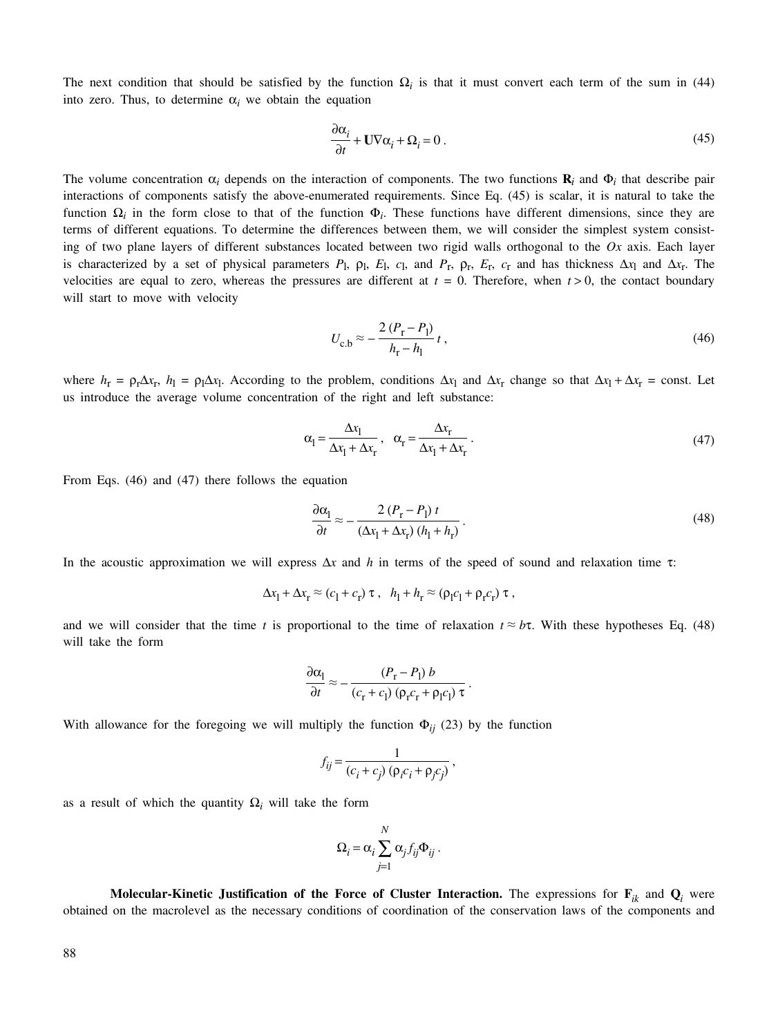The next condition that should be satisfied by the function  $\Omega_i$  is that it must convert each term of the sum in (44) into zero. Thus, to determine  $\alpha_i$  we obtain the equation

$$
\frac{\partial \alpha_i}{\partial t} + \mathbf{U} \nabla \alpha_i + \Omega_i = 0 \tag{45}
$$

The volume concentration  $\alpha_i$  depends on the interaction of components. The two functions  $\mathbf{R}_i$  and  $\Phi_i$  that describe pair interactions of components satisfy the above-enumerated requirements. Since Eq. (45) is scalar, it is natural to take the function  $\Omega_i$  in the form close to that of the function  $\Phi_i$ . These functions have different dimensions, since they are terms of different equations. To determine the differences between them, we will consider the simplest system consisting of two plane layers of different substances located between two rigid walls orthogonal to the *Ox* axis. Each layer is characterized by a set of physical parameters  $P_1$ ,  $\rho_1$ ,  $E_1$ ,  $c_1$ , and  $P_r$ ,  $\rho_r$ ,  $E_r$ ,  $c_r$  and has thickness  $\Delta x_1$  and  $\Delta x_r$ . The velocities are equal to zero, whereas the pressures are different at  $t = 0$ . Therefore, when  $t > 0$ , the contact boundary will start to move with velocity

$$
U_{\rm c,b} \approx -\frac{2\,(P_{\rm r}-P_{\rm l})}{h_{\rm r}-h_{\rm l}}\,t\,,\tag{46}
$$

where  $h_r = \rho_r \Delta x_r$ ,  $h_l = \rho_l \Delta x_l$ . According to the problem, conditions  $\Delta x_l$  and  $\Delta x_r$  change so that  $\Delta x_l + \Delta x_r$  = const. Let us introduce the average volume concentration of the right and left substance:

$$
\alpha_{\rm l} = \frac{\Delta x_{\rm l}}{\Delta x_{\rm l} + \Delta x_{\rm r}}, \quad \alpha_{\rm r} = \frac{\Delta x_{\rm r}}{\Delta x_{\rm l} + \Delta x_{\rm r}}.
$$
\n(47)

From Eqs. (46) and (47) there follows the equation

$$
\frac{\partial \alpha_1}{\partial t} \approx -\frac{2\left(P_r - P_l\right)t}{\left(\Delta x_l + \Delta x_r\right)\left(h_l + h_r\right)}\,. \tag{48}
$$

.

In the acoustic approximation we will express  $\Delta x$  and *h* in terms of the speed of sound and relaxation time τ:

$$
\Delta x_1 + \Delta x_r \approx (c_1 + c_r) \tau, \quad h_1 + h_r \approx (\rho_1 c_1 + \rho_r c_r) \tau,
$$

and we will consider that the time *t* is proportional to the time of relaxation  $t \approx b\tau$ . With these hypotheses Eq. (48) will take the form

$$
\frac{\partial \alpha_1}{\partial t} \approx -\frac{(P_{\rm r} - P_{\rm l}) b}{(c_{\rm r} + c_{\rm l}) (\rho_{\rm r} c_{\rm r} + \rho_{\rm l} c_{\rm l}) \tau}
$$

With allowance for the foregoing we will multiply the function  $\Phi_{ij}$  (23) by the function

$$
f_{ij} = \frac{1}{(c_i + c_j) (\rho_i c_i + \rho_j c_j)},
$$

as a result of which the quantity  $\Omega_i$  will take the form

$$
\Omega_i = \alpha_i \sum_{j=1}^N \alpha_j f_{ij} \Phi_{ij}.
$$

**Molecular-Kinetic Justification of the Force of Cluster Interaction.** The expressions for  $\mathbf{F}_{ik}$  and  $\mathbf{Q}_i$  were obtained on the macrolevel as the necessary conditions of coordination of the conservation laws of the components and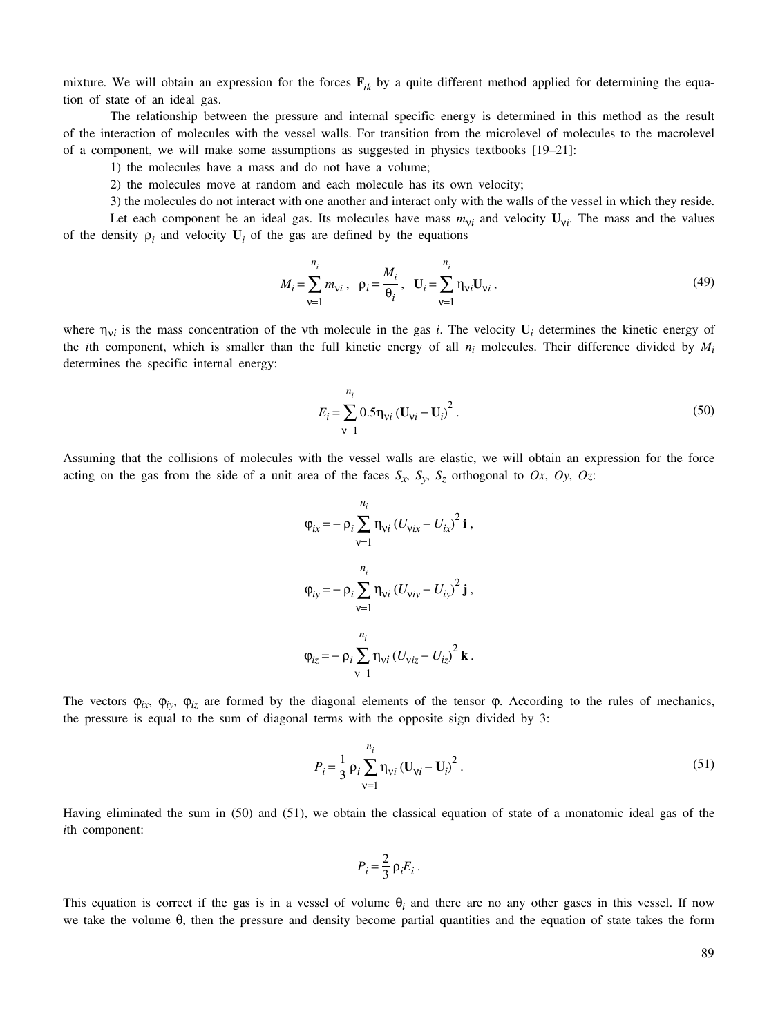mixture. We will obtain an expression for the forces  $\mathbf{F}_{ik}$  by a quite different method applied for determining the equation of state of an ideal gas.

The relationship between the pressure and internal specific energy is determined in this method as the result of the interaction of molecules with the vessel walls. For transition from the microlevel of molecules to the macrolevel of a component, we will make some assumptions as suggested in physics textbooks [19–21]:

1) the molecules have a mass and do not have a volume;

2) the molecules move at random and each molecule has its own velocity;

3) the molecules do not interact with one another and interact only with the walls of the vessel in which they reside.

Let each component be an ideal gas. Its molecules have mass  $m_{vi}$  and velocity  $U_{vi}$ . The mass and the values of the density  $\rho_i$  and velocity  $U_i$  of the gas are defined by the equations

$$
M_{i} = \sum_{v=1}^{n_{i}} m_{vi}, \quad \rho_{i} = \frac{M_{i}}{\theta_{i}}, \quad \mathbf{U}_{i} = \sum_{v=1}^{n_{i}} \eta_{vi} \mathbf{U}_{vi}, \tag{49}
$$

where  $\eta_{vi}$  is the mass concentration of the vth molecule in the gas *i*. The velocity  $U_i$  determines the kinetic energy of the *i*th component, which is smaller than the full kinetic energy of all *ni* molecules. Their difference divided by *Mi* determines the specific internal energy:

$$
E_{i} = \sum_{v=1}^{n_{i}} 0.5 \eta_{vi} (\mathbf{U}_{vi} - \mathbf{U}_{i})^{2}.
$$
 (50)

Assuming that the collisions of molecules with the vessel walls are elastic, we will obtain an expression for the force acting on the gas from the side of a unit area of the faces  $S_x$ ,  $S_y$ ,  $S_z$  orthogonal to  $Ox$ ,  $Oy$ ,  $Oz$ :

$$
\varphi_{ix} = -\rho_i \sum_{v=1}^{n_i} \eta_{vi} (U_{vix} - U_{ix})^2 \mathbf{i},
$$
  

$$
\varphi_{iy} = -\rho_i \sum_{v=1}^{n_i} \eta_{vi} (U_{viy} - U_{iy})^2 \mathbf{j},
$$
  

$$
\varphi_{iz} = -\rho_i \sum_{v=1}^{n_i} \eta_{vi} (U_{viz} - U_{iz})^2 \mathbf{k}.
$$

The vectors  $\varphi_{ix}$ ,  $\varphi_{iy}$ ,  $\varphi_{iz}$  are formed by the diagonal elements of the tensor  $\varphi$ . According to the rules of mechanics, the pressure is equal to the sum of diagonal terms with the opposite sign divided by 3:

$$
P_{i} = \frac{1}{3} \rho_{i} \sum_{v=1}^{n_{i}} \eta_{vi} (U_{vi} - U_{i})^{2}.
$$
 (51)

Having eliminated the sum in (50) and (51), we obtain the classical equation of state of a monatomic ideal gas of the *i*th component:

$$
P_i = \frac{2}{3} \rho_i E_i \, .
$$

This equation is correct if the gas is in a vessel of volume  $\theta_i$  and there are no any other gases in this vessel. If now we take the volume  $\theta$ , then the pressure and density become partial quantities and the equation of state takes the form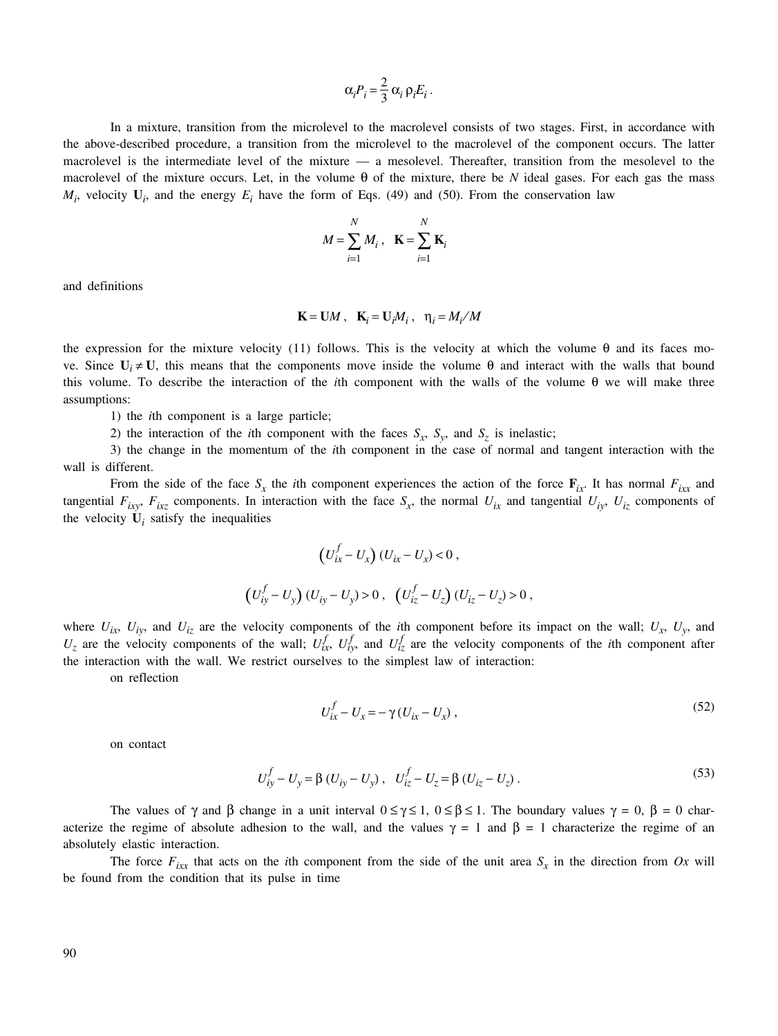$$
\alpha_i P_i = \frac{2}{3} \alpha_i \, \rho_i E_i \, .
$$

In a mixture, transition from the microlevel to the macrolevel consists of two stages. First, in accordance with the above-described procedure, a transition from the microlevel to the macrolevel of the component occurs. The latter macrolevel is the intermediate level of the mixture — a mesolevel. Thereafter, transition from the mesolevel to the macrolevel of the mixture occurs. Let, in the volume  $\theta$  of the mixture, there be *N* ideal gases. For each gas the mass  $M_i$ , velocity  $U_i$ , and the energy  $E_i$  have the form of Eqs. (49) and (50). From the conservation law

$$
M = \sum_{i=1}^{N} M_i , \quad \mathbf{K} = \sum_{i=1}^{N} \mathbf{K}_i
$$

and definitions

$$
\mathbf{K} = \mathbf{U}M \ , \quad \mathbf{K}_i = \mathbf{U}_iM_i \ , \quad \eta_i = M_i/M
$$

the expression for the mixture velocity (11) follows. This is the velocity at which the volume θ and its faces move. Since  $U_i \neq U$ , this means that the components move inside the volume θ and interact with the walls that bound this volume. To describe the interaction of the *i*th component with the walls of the volume θ we will make three assumptions:

1) the *i*th component is a large particle;

2) the interaction of the *i*th component with the faces  $S_x$ ,  $S_y$ , and  $S_z$  is inelastic;

3) the change in the momentum of the *i*th component in the case of normal and tangent interaction with the wall is different.

From the side of the face  $S_x$  the *i*th component experiences the action of the force  $\mathbf{F}_{ix}$ . It has normal  $F_{ixx}$  and tangential  $F_{ixy}$ ,  $F_{ixz}$  components. In interaction with the face  $S_x$ , the normal  $U_{ix}$  and tangential  $U_{iy}$ ,  $U_{iz}$  components of the velocity  $U_i$  satisfy the inequalities

$$
(U_{ix}^f - U_x) (U_{ix} - U_x) < 0,
$$
  

$$
(U_{iy}^f - U_y) (U_{iy} - U_y) > 0, (U_{iz}^f - U_z) (U_{iz} - U_z) > 0,
$$

where  $U_{ix}$ ,  $U_{iy}$ , and  $U_{iz}$  are the velocity components of the *i*th component before its impact on the wall;  $U_x$ ,  $U_y$ , and  $U_z$  are the velocity components of the wall;  $U_{ix}^f$ ,  $U_{iy}^f$ , and  $U_{iz}^f$  are the velocity components of the *i*th component after the interaction with the wall. We restrict ourselves to the simplest law of interaction:

on reflection

$$
U_{ix}^f - U_x = -\gamma (U_{ix} - U_x),\tag{52}
$$

on contact

$$
U_{iy}^{f} - U_{y} = \beta (U_{iy} - U_{y}), \quad U_{iz}^{f} - U_{z} = \beta (U_{iz} - U_{z}).
$$
\n(53)

The values of  $\gamma$  and  $\beta$  change in a unit interval  $0 \leq \gamma \leq 1$ ,  $0 \leq \beta \leq 1$ . The boundary values  $\gamma = 0$ ,  $\beta = 0$  characterize the regime of absolute adhesion to the wall, and the values  $\gamma = 1$  and  $\beta = 1$  characterize the regime of an absolutely elastic interaction.

The force  $F_{ixx}$  that acts on the *i*th component from the side of the unit area  $S_x$  in the direction from Ox will be found from the condition that its pulse in time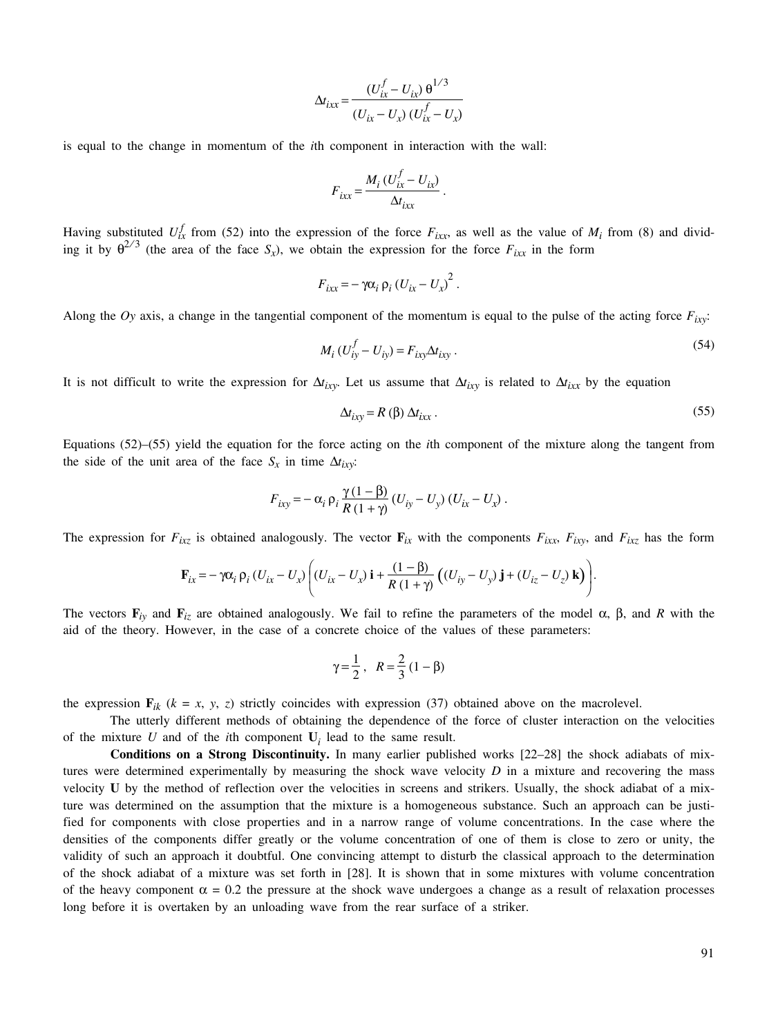$$
\Delta t_{ixx} = \frac{(U_{ix}^f - U_{ix}) \,\theta^{1/3}}{(U_{ix} - U_{x}) \,(U_{ix}^f - U_{x})}
$$

is equal to the change in momentum of the *i*th component in interaction with the wall:

$$
F_{ixx} = \frac{M_i (U_{ix}^f - U_{ix})}{\Delta t_{ixx}}.
$$

Having substituted  $U_{ix}^f$  from (52) into the expression of the force  $F_{ixx}$ , as well as the value of  $M_i$  from (8) and dividing it by  $\theta^{2/3}$  (the area of the face *S<sub>x</sub>*), we obtain the expression for the force  $F_{ixx}$  in the form

$$
F_{ixx} = -\gamma \alpha_i \rho_i (U_{ix} - U_x)^2.
$$

Along the  $Oy$  axis, a change in the tangential component of the momentum is equal to the pulse of the acting force  $F_{ixy}$ :

$$
M_i (U_{iy}^f - U_{iy}) = F_{ixy} \Delta t_{ixy} . \tag{54}
$$

It is not difficult to write the expression for  $\Delta t_{ivv}$ . Let us assume that  $\Delta t_{ivv}$  is related to  $\Delta t_{ixx}$  by the equation

$$
\Delta t_{ixy} = R(\beta) \Delta t_{ixx} \,. \tag{55}
$$

Equations (52)–(55) yield the equation for the force acting on the *i*th component of the mixture along the tangent from the side of the unit area of the face  $S_x$  in time  $\Delta t_{ixy}$ :

$$
F_{ixy} = -\alpha_i \rho_i \frac{\gamma (1-\beta)}{R(1+\gamma)} (U_{iy} - U_{y}) (U_{ix} - U_{x}).
$$

The expression for  $F_{ixz}$  is obtained analogously. The vector  $\mathbf{F}_{ix}$  with the components  $F_{ixx}$ ,  $F_{ixy}$ , and  $F_{ixz}$  has the form

$$
\mathbf{F}_{ix} = -\gamma \alpha_i \, \rho_i \left( U_{ix} - U_{x} \right) \left( \left( U_{ix} - U_{x} \right) \mathbf{i} + \frac{(1-\beta)}{R\left(1+\gamma\right)} \left( \left( U_{iy} - U_{y} \right) \mathbf{j} + \left( U_{iz} - U_{z} \right) \mathbf{k} \right) \right).
$$

The vectors  $\mathbf{F}_{iv}$  and  $\mathbf{F}_{iz}$  are obtained analogously. We fail to refine the parameters of the model  $\alpha$ ,  $\beta$ , and *R* with the aid of the theory. However, in the case of a concrete choice of the values of these parameters:

$$
\gamma = \frac{1}{2}, \ \ R = \frac{2}{3} (1 - \beta)
$$

the expression  $\mathbf{F}_{ik}$  ( $k = x, y, z$ ) strictly coincides with expression (37) obtained above on the macrolevel.

The utterly different methods of obtaining the dependence of the force of cluster interaction on the velocities of the mixture  $U$  and of the *i*th component  $U_i$  lead to the same result.

**Conditions on a Strong Discontinuity.** In many earlier published works [22–28] the shock adiabats of mixtures were determined experimentally by measuring the shock wave velocity *D* in a mixture and recovering the mass velocity **U** by the method of reflection over the velocities in screens and strikers. Usually, the shock adiabat of a mixture was determined on the assumption that the mixture is a homogeneous substance. Such an approach can be justified for components with close properties and in a narrow range of volume concentrations. In the case where the densities of the components differ greatly or the volume concentration of one of them is close to zero or unity, the validity of such an approach it doubtful. One convincing attempt to disturb the classical approach to the determination of the shock adiabat of a mixture was set forth in [28]. It is shown that in some mixtures with volume concentration of the heavy component  $\alpha = 0.2$  the pressure at the shock wave undergoes a change as a result of relaxation processes long before it is overtaken by an unloading wave from the rear surface of a striker.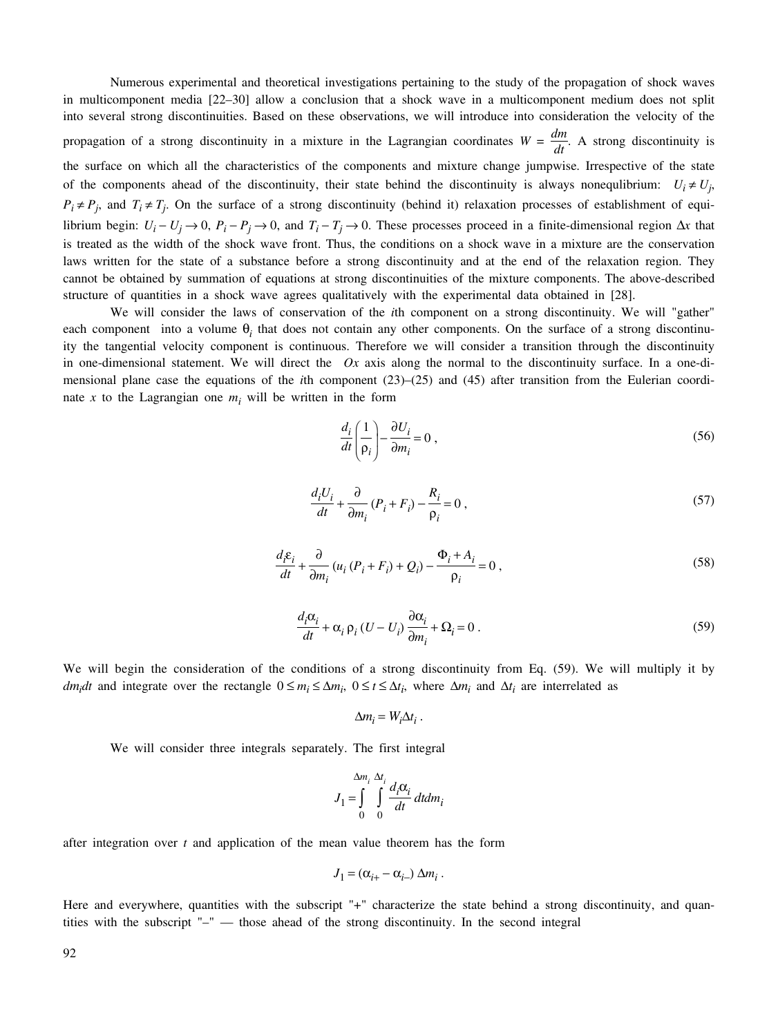Numerous experimental and theoretical investigations pertaining to the study of the propagation of shock waves in multicomponent media [22–30] allow a conclusion that a shock wave in a multicomponent medium does not split into several strong discontinuities. Based on these observations, we will introduce into consideration the velocity of the propagation of a strong discontinuity in a mixture in the Lagrangian coordinates  $W = \frac{dm}{dt}$ . A strong discontinuity is the surface on which all the characteristics of the components and mixture change jumpwise. Irrespective of the state of the components ahead of the discontinuity, their state behind the discontinuity is always nonequlibrium:  $U_i \neq U_j$ ,  $P_i \neq P_j$ , and  $T_i \neq T_j$ . On the surface of a strong discontinuity (behind it) relaxation processes of establishment of equilibrium begin:  $U_i - U_j \rightarrow 0$ ,  $P_i - P_j \rightarrow 0$ , and  $T_i - T_j \rightarrow 0$ . These processes proceed in a finite-dimensional region  $\Delta x$  that is treated as the width of the shock wave front. Thus, the conditions on a shock wave in a mixture are the conservation laws written for the state of a substance before a strong discontinuity and at the end of the relaxation region. They cannot be obtained by summation of equations at strong discontinuities of the mixture components. The above-described structure of quantities in a shock wave agrees qualitatively with the experimental data obtained in [28].

We will consider the laws of conservation of the *i*th component on a strong discontinuity. We will "gather" each component into a volume  $\theta_i$  that does not contain any other components. On the surface of a strong discontinuity the tangential velocity component is continuous. Therefore we will consider a transition through the discontinuity in one-dimensional statement. We will direct the *Ox* axis along the normal to the discontinuity surface. In a one-dimensional plane case the equations of the *i*th component (23)–(25) and (45) after transition from the Eulerian coordinate *x* to the Lagrangian one  $m<sub>i</sub>$  will be written in the form

$$
\frac{d_i}{dt} \left( \frac{1}{\rho_i} \right) - \frac{\partial U_i}{\partial m_i} = 0 \tag{56}
$$

$$
\frac{d_i U_i}{dt} + \frac{\partial}{\partial m_i} (P_i + F_i) - \frac{R_i}{\rho_i} = 0,
$$
\n(57)

$$
\frac{d_i \varepsilon_i}{dt} + \frac{\partial}{\partial m_i} (u_i (P_i + F_i) + Q_i) - \frac{\Phi_i + A_i}{\rho_i} = 0,
$$
\n(58)

$$
\frac{d_i \alpha_i}{dt} + \alpha_i \, \rho_i \left( U - U_i \right) \frac{\partial \alpha_i}{\partial m_i} + \Omega_i = 0 \,. \tag{59}
$$

We will begin the consideration of the conditions of a strong discontinuity from Eq. (59). We will multiply it by *dm<sub>i</sub>dt* and integrate over the rectangle  $0 \le m_i \le \Delta m_i$ ,  $0 \le t \le \Delta t_i$ , where  $\Delta m_i$  and  $\Delta t_i$  are interrelated as

$$
\Delta m_i = W_i \Delta t_i \; .
$$

We will consider three integrals separately. The first integral

$$
J_1 = \int_{0}^{\Delta m_i} \int_{0}^{\Delta t_i} \frac{d_i \alpha_i}{dt} dt dm_i
$$

after integration over *t* and application of the mean value theorem has the form

$$
J_1 = (\alpha_{i+} - \alpha_{i-}) \Delta m_i.
$$

Here and everywhere, quantities with the subscript "+" characterize the state behind a strong discontinuity, and quantities with the subscript "–" — those ahead of the strong discontinuity. In the second integral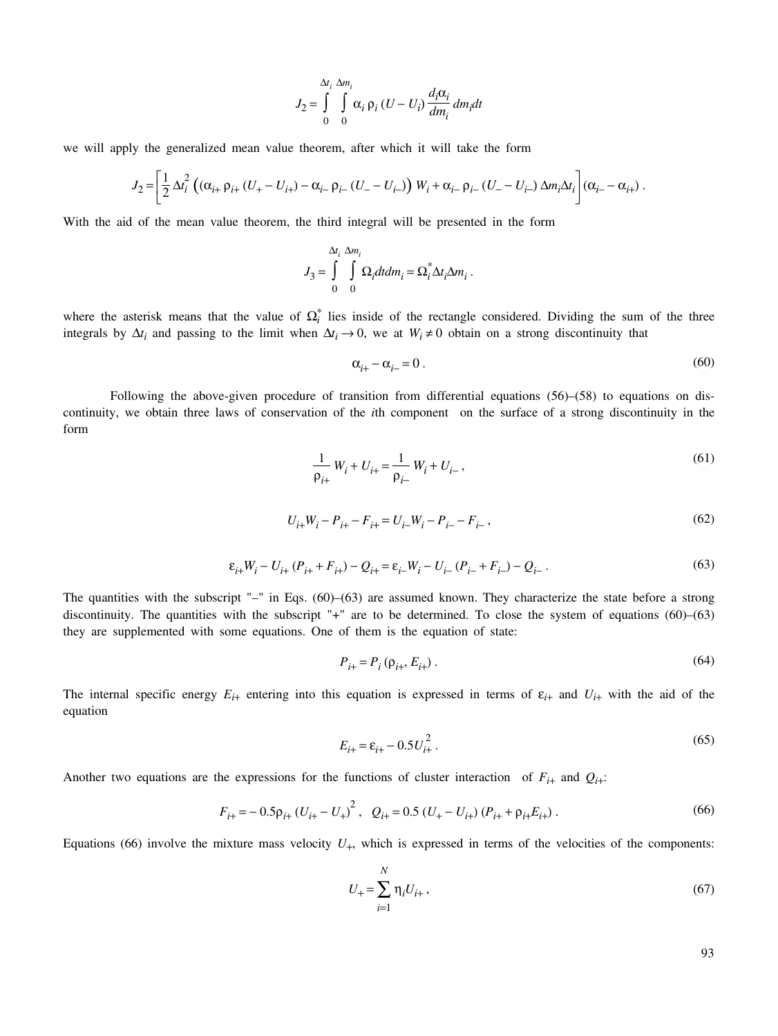$$
J_2 = \int\limits_0^{\Delta t_i} \int\limits_0^{\Delta m_i} \alpha_i \, \rho_i \left( U - U_i \right) \frac{d_i \alpha_i}{dm_i} \, dm_i \, dt
$$

we will apply the generalized mean value theorem, after which it will take the form

$$
J_2 = \left[ \frac{1}{2} \Delta t_i^2 \left( (\alpha_{i+} \rho_{i+} (U_+ - U_{i+}) - \alpha_{i-} \rho_{i-} (U_- - U_{i-}) \right) W_i + \alpha_{i-} \rho_{i-} (U_- - U_{i-}) \Delta m_i \Delta t_i \right] (\alpha_{i-} - \alpha_{i+}) .
$$

With the aid of the mean value theorem, the third integral will be presented in the form

$$
J_3=\int\limits_0^{\Delta t_i}\int\limits_0^{\Delta m_i}\Omega_i dtdm_i=\Omega_i^*\Delta t_i\Delta m_i\;.
$$

where the asterisk means that the value of  $\Omega_i^*$  lies inside of the rectangle considered. Dividing the sum of the three integrals by  $\Delta t_i$  and passing to the limit when  $\Delta t_i \to 0$ , we at  $W_i \neq 0$  obtain on a strong discontinuity that

$$
\alpha_{i+} - \alpha_{i-} = 0 \tag{60}
$$

Following the above-given procedure of transition from differential equations (56)–(58) to equations on discontinuity, we obtain three laws of conservation of the *i*th component on the surface of a strong discontinuity in the form

$$
\frac{1}{\rho_{i+}} W_i + U_{i+} = \frac{1}{\rho_{i-}} W_i + U_{i-},
$$
\n(61)

$$
U_{i+}W_i - P_{i+} - F_{i+} = U_{i-}W_i - P_{i-} - F_{i-},
$$
\n(62)

$$
\varepsilon_{i+} W_i - U_{i+} (P_{i+} + F_{i+}) - Q_{i+} = \varepsilon_{i-} W_i - U_{i-} (P_{i-} + F_{i-}) - Q_{i-}.
$$
\n(63)

The quantities with the subscript " $-$ " in Eqs. (60)–(63) are assumed known. They characterize the state before a strong discontinuity. The quantities with the subscript "+" are to be determined. To close the system of equations  $(60)$ – $(63)$ they are supplemented with some equations. One of them is the equation of state:

$$
P_{i+} = P_i \left( \rho_{i+}, E_{i+} \right). \tag{64}
$$

The internal specific energy  $E_{i+}$  entering into this equation is expressed in terms of  $\varepsilon_{i+}$  and  $U_{i+}$  with the aid of the equation

$$
E_{i+} = \varepsilon_{i+} - 0.5U_{i+}^2. \tag{65}
$$

Another two equations are the expressions for the functions of cluster interaction of  $F_{i+}$  and  $Q_{i+}$ :

$$
F_{i+} = -0.5 \rho_{i+} (U_{i+} - U_+)^2, \quad Q_{i+} = 0.5 (U_+ - U_{i+}) (P_{i+} + \rho_{i+} E_{i+}) \,. \tag{66}
$$

Equations (66) involve the mixture mass velocity  $U_{+}$ , which is expressed in terms of the velocities of the components:

$$
U_{+} = \sum_{i=1}^{N} \eta_i U_{i+} , \qquad (67)
$$

93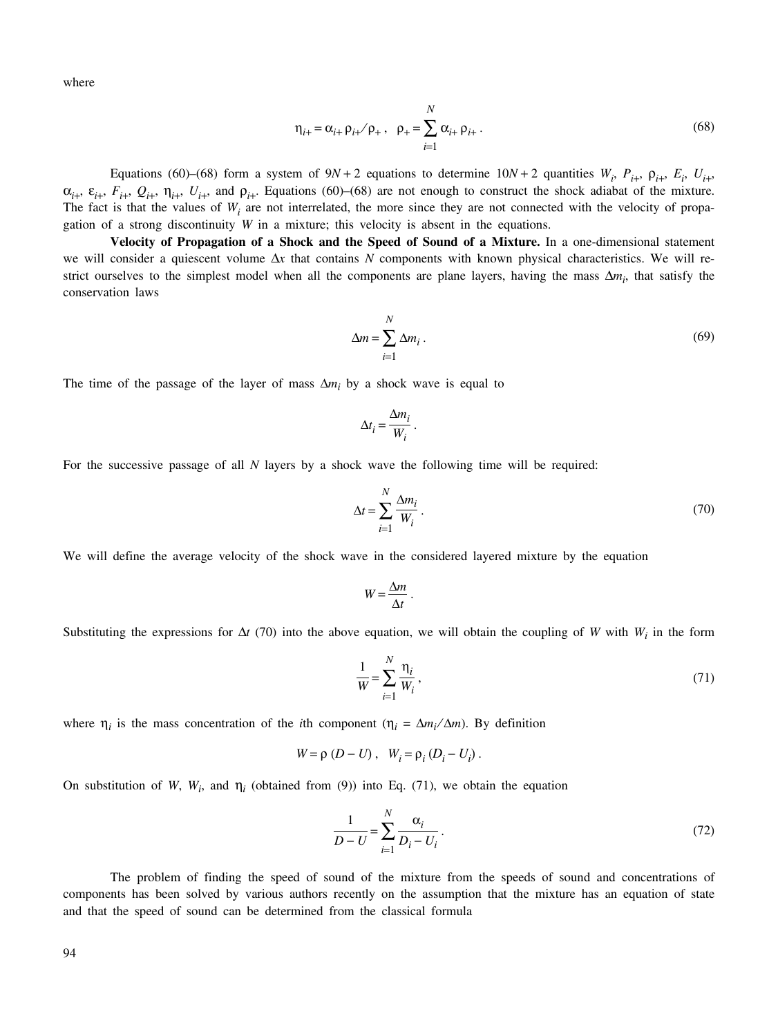where

$$
\eta_{i+} = \alpha_{i+} \rho_{i+} / \rho_+, \ \ \rho_+ = \sum_{i=1}^N \alpha_{i+} \rho_{i+}.
$$
 (68)

Equations (60)–(68) form a system of  $9N + 2$  equations to determine  $10N + 2$  quantities  $W_i$ ,  $P_{i+}$ ,  $P_{i+}$ ,  $E_i$ ,  $U_{i+}$ ,  $\alpha_{i+}$ ,  $\varepsilon_{i+}$ ,  $F_{i+}$ ,  $Q_{i+}$ ,  $\eta_{i+}$ ,  $U_{i+}$ , and  $\rho_{i+}$ . Equations (60)–(68) are not enough to construct the shock adiabat of the mixture. The fact is that the values of  $W_i$  are not interrelated, the more since they are not connected with the velocity of propagation of a strong discontinuity  $W$  in a mixture; this velocity is absent in the equations.

**Velocity of Propagation of a Shock and the Speed of Sound of a Mixture.** In a one-dimensional statement we will consider a quiescent volume Δ*x* that contains *N* components with known physical characteristics. We will restrict ourselves to the simplest model when all the components are plane layers, having the mass  $\Delta m_i$ , that satisfy the conservation laws

$$
\Delta m = \sum_{i=1}^{N} \Delta m_i \,. \tag{69}
$$

The time of the passage of the layer of mass  $\Delta m_i$  by a shock wave is equal to

$$
\Delta t_i = \frac{\Delta m_i}{W_i} \, .
$$

For the successive passage of all *N* layers by a shock wave the following time will be required:

$$
\Delta t = \sum_{i=1}^{N} \frac{\Delta m_i}{W_i} \,. \tag{70}
$$

We will define the average velocity of the shock wave in the considered layered mixture by the equation

$$
W = \frac{\Delta m}{\Delta t} \ .
$$

Substituting the expressions for  $\Delta t$  (70) into the above equation, we will obtain the coupling of *W* with  $W_i$  in the form

$$
\frac{1}{W} = \sum_{i=1}^{N} \frac{\eta_i}{W_i},
$$
\n(71)

where  $\eta_i$  is the mass concentration of the *i*th component ( $\eta_i = \Delta m_i / \Delta m$ ). By definition

$$
W = \rho (D - U), \quad W_i = \rho_i (D_i - U_i).
$$

On substitution of *W*,  $W_i$ , and  $\eta_i$  (obtained from (9)) into Eq. (71), we obtain the equation

$$
\frac{1}{D-U} = \sum_{i=1}^{N} \frac{\alpha_i}{D_i - U_i}.
$$
\n(72)

The problem of finding the speed of sound of the mixture from the speeds of sound and concentrations of components has been solved by various authors recently on the assumption that the mixture has an equation of state and that the speed of sound can be determined from the classical formula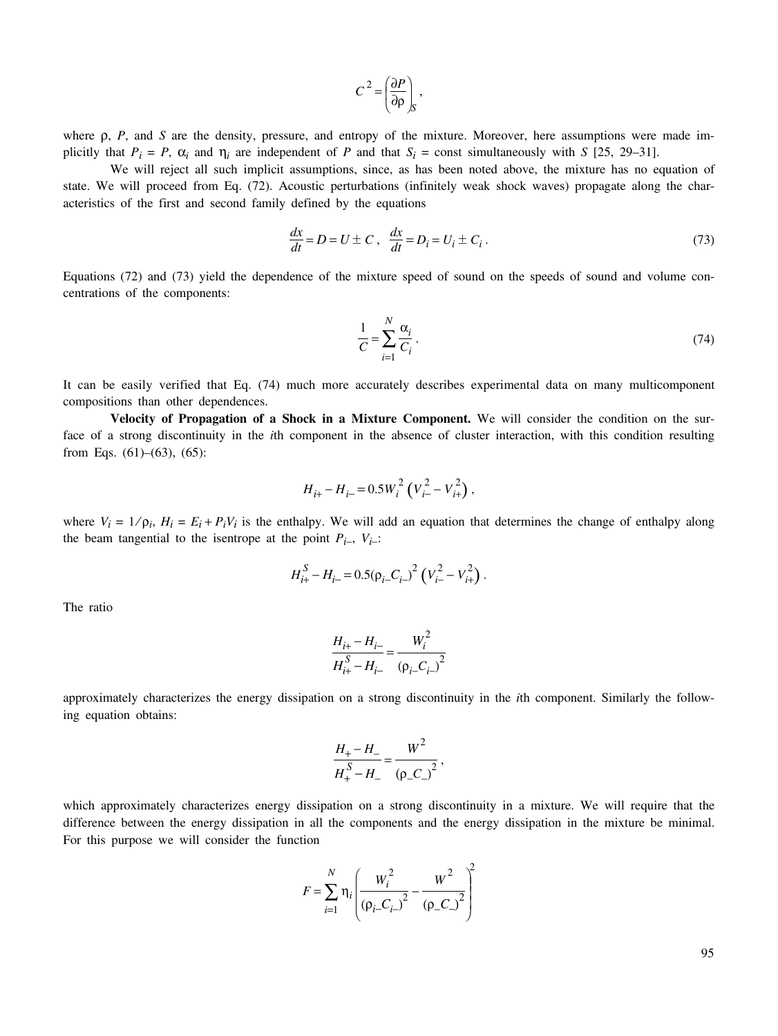$$
C^2 = \left(\frac{\partial P}{\partial \rho}\right)_S,
$$

where ρ, *P*, and *S* are the density, pressure, and entropy of the mixture. Moreover, here assumptions were made implicitly that  $P_i = P$ ,  $\alpha_i$  and  $\eta_i$  are independent of *P* and that  $S_i$  = const simultaneously with *S* [25, 29–31].

We will reject all such implicit assumptions, since, as has been noted above, the mixture has no equation of state. We will proceed from Eq. (72). Acoustic perturbations (infinitely weak shock waves) propagate along the characteristics of the first and second family defined by the equations

$$
\frac{dx}{dt} = D = U \pm C, \quad \frac{dx}{dt} = D_i = U_i \pm C_i.
$$
\n(73)

Equations (72) and (73) yield the dependence of the mixture speed of sound on the speeds of sound and volume concentrations of the components:

$$
\frac{1}{C} = \sum_{i=1}^{N} \frac{\alpha_i}{C_i} \,. \tag{74}
$$

It can be easily verified that Eq. (74) much more accurately describes experimental data on many multicomponent compositions than other dependences.

**Velocity of Propagation of a Shock in a Mixture Component.** We will consider the condition on the surface of a strong discontinuity in the *i*th component in the absence of cluster interaction, with this condition resulting from Eqs.  $(61)–(63)$ ,  $(65)$ :

$$
H_{i+} - H_{i-} = 0.5 W_i^2 \left( V_{i-}^2 - V_{i+}^2 \right),
$$

where  $V_i = 1/\rho_i$ ,  $H_i = E_i + P_i V_i$  is the enthalpy. We will add an equation that determines the change of enthalpy along the beam tangential to the isentrope at the point  $P_{i-}$ ,  $V_{i-}$ :

$$
H_{i+}^{S} - H_{i-} = 0.5(\rho_{i-}C_{i-})^2 \left(V_{i-}^2 - V_{i+}^2\right).
$$

The ratio

$$
\frac{H_{i+} - H_{i-}}{H_{i+}^{S} - H_{i-}} = \frac{W_i^2}{(p_i - C_{i-})^2}
$$

approximately characterizes the energy dissipation on a strong discontinuity in the *i*th component. Similarly the following equation obtains:

$$
\frac{H_{+} - H_{-}}{H_{+}^{S} - H_{-}} = \frac{W^{2}}{(\rho_{-} C_{-})^{2}},
$$

which approximately characterizes energy dissipation on a strong discontinuity in a mixture. We will require that the difference between the energy dissipation in all the components and the energy dissipation in the mixture be minimal. For this purpose we will consider the function

$$
F = \sum_{i=1}^{N} \eta_i \left( \frac{W_i^2}{(\rho_i - C_{i-})^2} - \frac{W^2}{(\rho_- C_{i-})^2} \right)^2
$$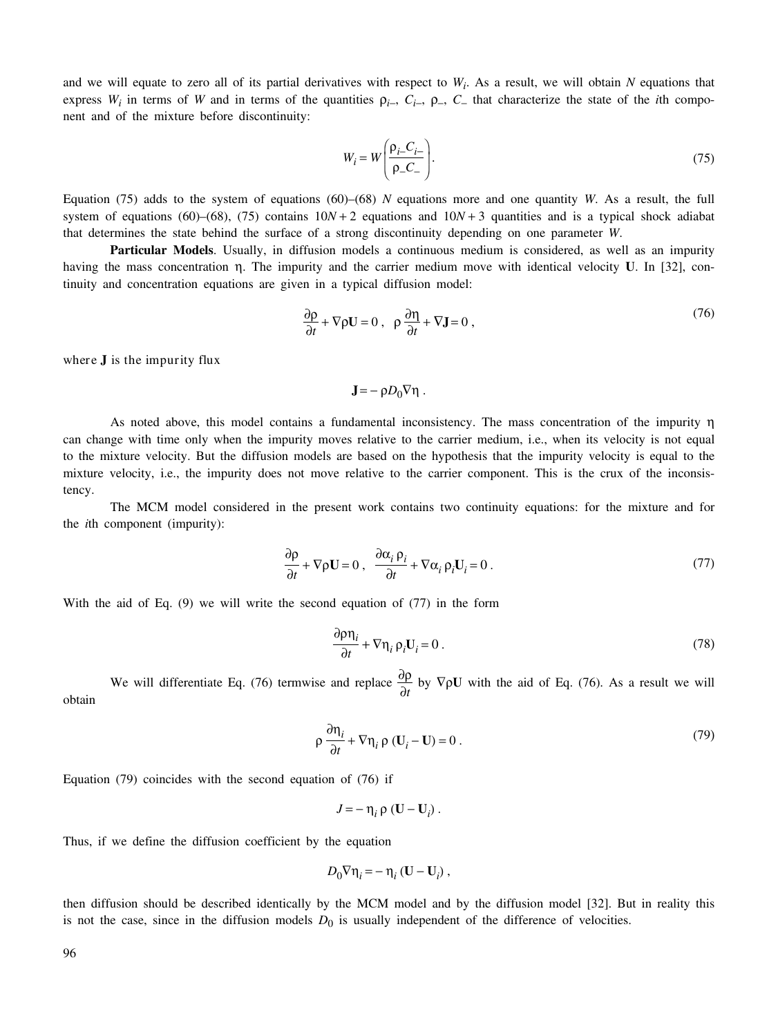and we will equate to zero all of its partial derivatives with respect to  $W_i$ . As a result, we will obtain  $N$  equations that express  $W_i$  in terms of *W* and in terms of the quantities  $\rho_i$ ,  $C_i$ ,  $\rho$ ,  $C_$  that characterize the state of the *i*th component and of the mixture before discontinuity:

$$
W_i = W \left( \frac{\rho_{i-} C_{i-}}{\rho_{-} C_{-}} \right). \tag{75}
$$

Equation (75) adds to the system of equations (60)–(68) *N* equations more and one quantity *W*. As a result, the full system of equations (60)–(68), (75) contains  $10N + 2$  equations and  $10N + 3$  quantities and is a typical shock adiabat that determines the state behind the surface of a strong discontinuity depending on one parameter *W*.

**Particular Models**. Usually, in diffusion models a continuous medium is considered, as well as an impurity having the mass concentration η. The impurity and the carrier medium move with identical velocity **U**. In [32], continuity and concentration equations are given in a typical diffusion model:

$$
\frac{\partial \rho}{\partial t} + \nabla \rho \mathbf{U} = 0 \,, \quad \rho \frac{\partial \eta}{\partial t} + \nabla \mathbf{J} = 0 \,, \tag{76}
$$

where **J** is the impurity flux

$$
\mathbf{J} = -\rho D_0 \nabla \eta .
$$

As noted above, this model contains a fundamental inconsistency. The mass concentration of the impurity η can change with time only when the impurity moves relative to the carrier medium, i.e., when its velocity is not equal to the mixture velocity. But the diffusion models are based on the hypothesis that the impurity velocity is equal to the mixture velocity, i.e., the impurity does not move relative to the carrier component. This is the crux of the inconsistency.

The MCM model considered in the present work contains two continuity equations: for the mixture and for the *i*th component (impurity):

$$
\frac{\partial \rho}{\partial t} + \nabla \rho \mathbf{U} = 0 \,, \quad \frac{\partial \alpha_i \, \rho_i}{\partial t} + \nabla \alpha_i \, \rho_i \mathbf{U}_i = 0 \,.
$$

With the aid of Eq. (9) we will write the second equation of (77) in the form

$$
\frac{\partial \rho \eta_i}{\partial t} + \nabla \eta_i \, \rho_i \mathbf{U}_i = 0 \,. \tag{78}
$$

We will differentiate Eq. (76) termwise and replace  $\frac{\partial \rho}{\partial t}$  by  $\nabla \rho \mathbf{U}$  with the aid of Eq. (76). As a result we will obtain

$$
\rho \frac{\partial \eta_i}{\partial t} + \nabla \eta_i \rho (\mathbf{U}_i - \mathbf{U}) = 0.
$$
 (79)

Equation (79) coincides with the second equation of (76) if

$$
J=-\eta_i \rho (\mathbf{U}-\mathbf{U}_i).
$$

Thus, if we define the diffusion coefficient by the equation

$$
D_0 \nabla \eta_i = - \eta_i \left( \mathbf{U} - \mathbf{U}_i \right),
$$

then diffusion should be described identically by the MCM model and by the diffusion model [32]. But in reality this is not the case, since in the diffusion models  $D_0$  is usually independent of the difference of velocities.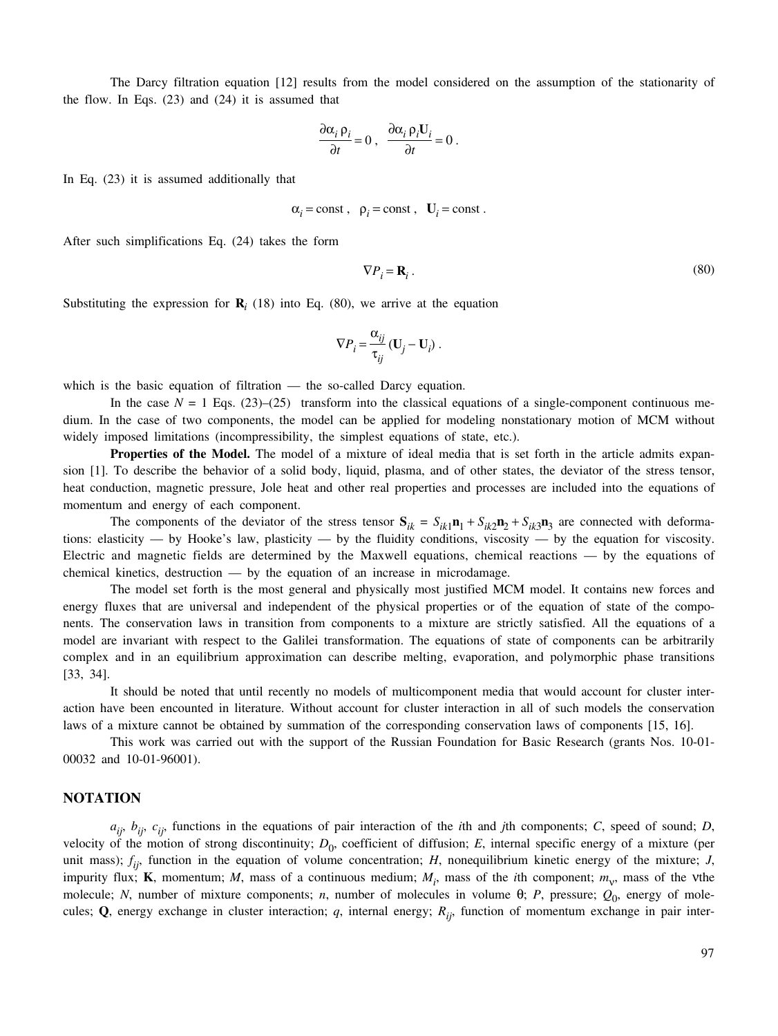The Darcy filtration equation [12] results from the model considered on the assumption of the stationarity of the flow. In Eqs. (23) and (24) it is assumed that

$$
\frac{\partial \alpha_i}{\partial t} \rho_i = 0 \ , \ \frac{\partial \alpha_i}{\partial t} \rho_i U_i = 0 \ .
$$

In Eq. (23) it is assumed additionally that

$$
\alpha_i = \text{const}, \ \ \rho_i = \text{const}, \ \ \mathbf{U}_i = \text{const}.
$$

After such simplifications Eq. (24) takes the form

$$
\nabla P_i = \mathbf{R}_i \,. \tag{80}
$$

Substituting the expression for  $\mathbf{R}_i$  (18) into Eq. (80), we arrive at the equation

$$
\nabla P_i = \frac{\alpha_{ij}}{\tau_{ij}} (\mathbf{U}_j - \mathbf{U}_i) .
$$

which is the basic equation of filtration — the so-called Darcy equation.

In the case  $N = 1$  Eqs. (23)–(25) transform into the classical equations of a single-component continuous medium. In the case of two components, the model can be applied for modeling nonstationary motion of MCM without widely imposed limitations (incompressibility, the simplest equations of state, etc.).

**Properties of the Model.** The model of a mixture of ideal media that is set forth in the article admits expansion [1]. To describe the behavior of a solid body, liquid, plasma, and of other states, the deviator of the stress tensor, heat conduction, magnetic pressure, Jole heat and other real properties and processes are included into the equations of momentum and energy of each component.

The components of the deviator of the stress tensor  $S_{ik} = S_{ik1}n_1 + S_{ik2}n_2 + S_{ik3}n_3$  are connected with deformations: elasticity — by Hooke's law, plasticity — by the fluidity conditions, viscosity — by the equation for viscosity. Electric and magnetic fields are determined by the Maxwell equations, chemical reactions — by the equations of chemical kinetics, destruction  $-$  by the equation of an increase in microdamage.

The model set forth is the most general and physically most justified MCM model. It contains new forces and energy fluxes that are universal and independent of the physical properties or of the equation of state of the components. The conservation laws in transition from components to a mixture are strictly satisfied. All the equations of a model are invariant with respect to the Galilei transformation. The equations of state of components can be arbitrarily complex and in an equilibrium approximation can describe melting, evaporation, and polymorphic phase transitions [33, 34].

It should be noted that until recently no models of multicomponent media that would account for cluster interaction have been encounted in literature. Without account for cluster interaction in all of such models the conservation laws of a mixture cannot be obtained by summation of the corresponding conservation laws of components [15, 16].

This work was carried out with the support of the Russian Foundation for Basic Research (grants Nos. 10-01- 00032 and 10-01-96001).

## **NOTATION**

*aij*, *bij*, *cij*, functions in the equations of pair interaction of the *i*th and *j*th components; *C*, speed of sound; *D*, velocity of the motion of strong discontinuity;  $D_0$ , coefficient of diffusion; *E*, internal specific energy of a mixture (per unit mass);  $f_{ij}$ , function in the equation of volume concentration; *H*, nonequilibrium kinetic energy of the mixture; *J*, impurity flux; **K**, momentum; *M*, mass of a continuous medium;  $M_i$ , mass of the *i*th component;  $m_v$ , mass of the vthe molecule; *N*, number of mixture components; *n*, number of molecules in volume  $\theta$ ; *P*, pressure;  $Q_0$ , energy of molecules; **Q**, energy exchange in cluster interaction; *q*, internal energy;  $R_{ij}$ , function of momentum exchange in pair inter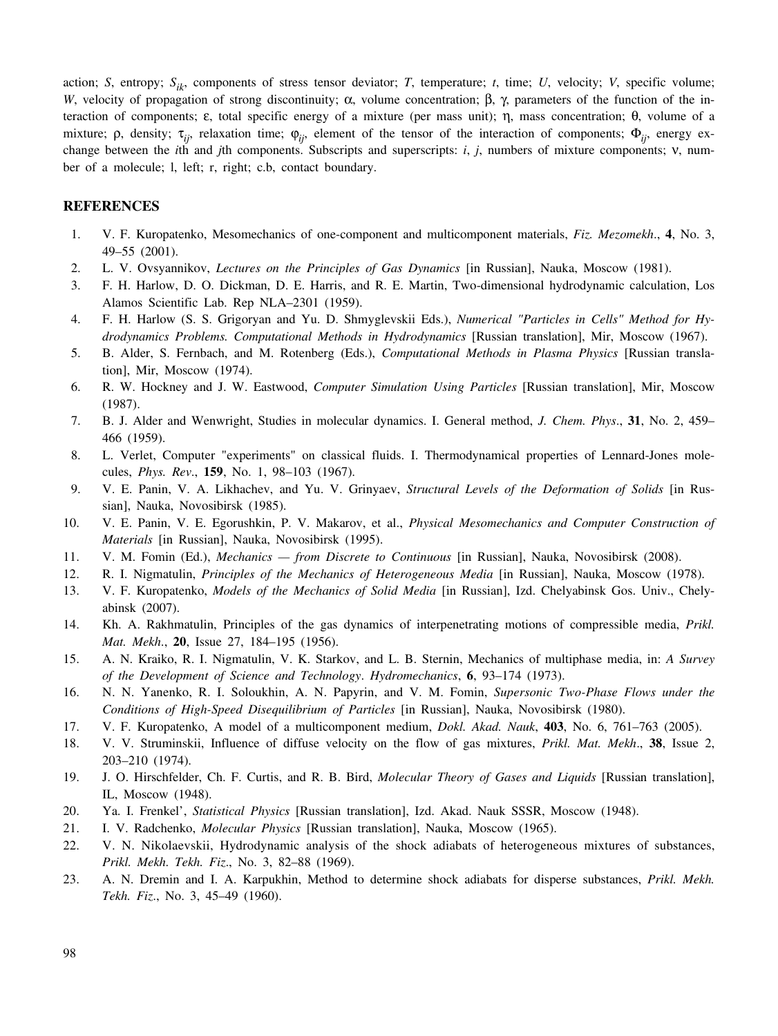action; *S*, entropy;  $S_{ik}$ , components of stress tensor deviator; *T*, temperature; *t*, time; *U*, velocity; *V*, specific volume; *W*, velocity of propagation of strong discontinuity; α, volume concentration;  $\beta$ ,  $\gamma$ , parameters of the function of the interaction of components; ε, total specific energy of a mixture (per mass unit); η, mass concentration; θ, volume of a mixture; ρ, density; τ<sub>*ij*</sub>, relaxation time;  $φ_{ij}$ , element of the tensor of the interaction of components;  $Φ_{ij}$ , energy exchange between the *i*th and *j*th components. Subscripts and superscripts: *i*, *j*, numbers of mixture components; ν, number of a molecule; l, left; r, right; c.b, contact boundary.

## **REFERENCES**

- 1. V. F. Kuropatenko, Mesomechanics of one-component and multicomponent materials, *Fiz. Mezomekh*., **4**, No. 3, 49–55 (2001).
- 2. L. V. Ovsyannikov, *Lectures on the Principles of Gas Dynamics* [in Russian], Nauka, Moscow (1981).
- 3. F. H. Harlow, D. O. Dickman, D. E. Harris, and R. E. Martin, Two-dimensional hydrodynamic calculation, Los Alamos Scientific Lab. Rep NLA–2301 (1959).
- 4. F. H. Harlow (S. S. Grigoryan and Yu. D. Shmyglevskii Eds.), *Numerical "Particles in Cells" Method for Hydrodynamics Problems. Computational Methods in Hydrodynamics* [Russian translation], Mir, Moscow (1967).
- 5. B. Alder, S. Fernbach, and M. Rotenberg (Eds.), *Computational Methods in Plasma Physics* [Russian translation], Mir, Moscow (1974).
- 6. R. W. Hockney and J. W. Eastwood, *Computer Simulation Using Particles* [Russian translation], Mir, Moscow (1987).
- 7. B. J. Alder and Wenwright, Studies in molecular dynamics. I. General method, *J. Chem. Phys*., **31**, No. 2, 459– 466 (1959).
- 8. L. Verlet, Computer "experiments" on classical fluids. I. Thermodynamical properties of Lennard-Jones molecules, *Phys. Rev*., **159**, No. 1, 98–103 (1967).
- 9. V. E. Panin, V. A. Likhachev, and Yu. V. Grinyaev, *Structural Levels of the Deformation of Solids* [in Russian], Nauka, Novosibirsk (1985).
- 10. V. E. Panin, V. E. Egorushkin, P. V. Makarov, et al., *Physical Mesomechanics and Computer Construction of Materials* [in Russian], Nauka, Novosibirsk (1995).
- 11. V. M. Fomin (Ed.), *Mechanics from Discrete to Continuous* [in Russian], Nauka, Novosibirsk (2008).
- 12. R. I. Nigmatulin, *Principles of the Mechanics of Heterogeneous Media* [in Russian], Nauka, Moscow (1978).
- 13. V. F. Kuropatenko, *Models of the Mechanics of Solid Media* [in Russian], Izd. Chelyabinsk Gos. Univ., Chelyabinsk (2007).
- 14. Kh. A. Rakhmatulin, Principles of the gas dynamics of interpenetrating motions of compressible media, *Prikl. Mat. Mekh*., **20**, Issue 27, 184–195 (1956).
- 15. A. N. Kraiko, R. I. Nigmatulin, V. K. Starkov, and L. B. Sternin, Mechanics of multiphase media, in: *A Survey of the Development of Science and Technology*. *Hydromechanics*, **6**, 93–174 (1973).
- 16. N. N. Yanenko, R. I. Soloukhin, A. N. Papyrin, and V. M. Fomin, *Supersonic Two-Phase Flows under the Conditions of High-Speed Disequilibrium of Particles* [in Russian], Nauka, Novosibirsk (1980).
- 17. V. F. Kuropatenko, A model of a multicomponent medium, *Dokl. Akad. Nauk*, **403**, No. 6, 761–763 (2005).
- 18. V. V. Struminskii, Influence of diffuse velocity on the flow of gas mixtures, *Prikl. Mat. Mekh*., **38**, Issue 2, 203–210 (1974).
- 19. J. O. Hirschfelder, Ch. F. Curtis, and R. B. Bird, *Molecular Theory of Gases and Liquids* [Russian translation], IL, Moscow (1948).
- 20. Ya. I. Frenkel', *Statistical Physics* [Russian translation], Izd. Akad. Nauk SSSR, Moscow (1948).
- 21. I. V. Radchenko, *Molecular Physics* [Russian translation], Nauka, Moscow (1965).
- 22. V. N. Nikolaevskii, Hydrodynamic analysis of the shock adiabats of heterogeneous mixtures of substances, *Prikl. Mekh. Tekh. Fiz*., No. 3, 82–88 (1969).
- 23. A. N. Dremin and I. A. Karpukhin, Method to determine shock adiabats for disperse substances, *Prikl. Mekh. Tekh. Fiz*., No. 3, 45–49 (1960).